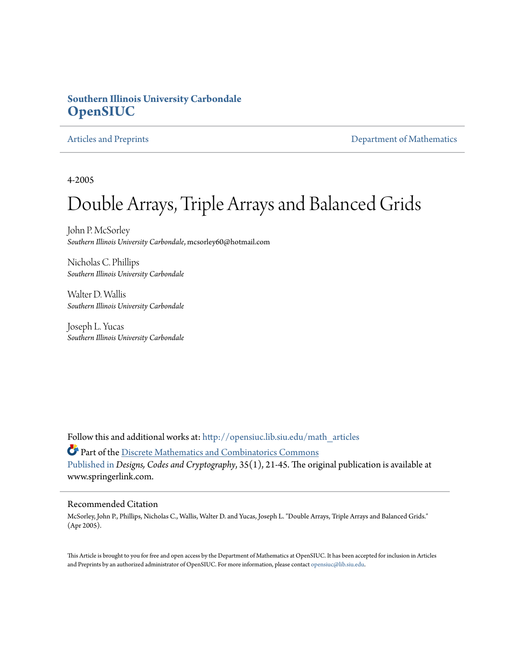#### **Southern Illinois University Carbondale [OpenSIUC](http://opensiuc.lib.siu.edu?utm_source=opensiuc.lib.siu.edu%2Fmath_articles%2F44&utm_medium=PDF&utm_campaign=PDFCoverPages)**

[Articles and Preprints](http://opensiuc.lib.siu.edu/math_articles?utm_source=opensiuc.lib.siu.edu%2Fmath_articles%2F44&utm_medium=PDF&utm_campaign=PDFCoverPages) **[Department of Mathematics](http://opensiuc.lib.siu.edu/math?utm_source=opensiuc.lib.siu.edu%2Fmath_articles%2F44&utm_medium=PDF&utm_campaign=PDFCoverPages)** Department of Mathematics

4-2005

# Double Arrays, Triple Arrays and Balanced Grids

John P. McSorley *Southern Illinois University Carbondale*, mcsorley60@hotmail.com

Nicholas C. Phillips *Southern Illinois University Carbondale*

Walter D. Wallis *Southern Illinois University Carbondale*

Joseph L. Yucas *Southern Illinois University Carbondale*

Follow this and additional works at: [http://opensiuc.lib.siu.edu/math\\_articles](http://opensiuc.lib.siu.edu/math_articles?utm_source=opensiuc.lib.siu.edu%2Fmath_articles%2F44&utm_medium=PDF&utm_campaign=PDFCoverPages)

Part of the [Discrete Mathematics and Combinatorics Commons](http://network.bepress.com/hgg/discipline/178?utm_source=opensiuc.lib.siu.edu%2Fmath_articles%2F44&utm_medium=PDF&utm_campaign=PDFCoverPages) [Published in](http://dx.doi.org/10.1007/s10623-003-6149-9) *Designs, Codes and Cryptography*, 35(1), 21-45. The original publication is available at www.springerlink.com.

#### Recommended Citation

McSorley, John P., Phillips, Nicholas C., Wallis, Walter D. and Yucas, Joseph L. "Double Arrays, Triple Arrays and Balanced Grids." (Apr 2005).

This Article is brought to you for free and open access by the Department of Mathematics at OpenSIUC. It has been accepted for inclusion in Articles and Preprints by an authorized administrator of OpenSIUC. For more information, please contact [opensiuc@lib.siu.edu](mailto:opensiuc@lib.siu.edu).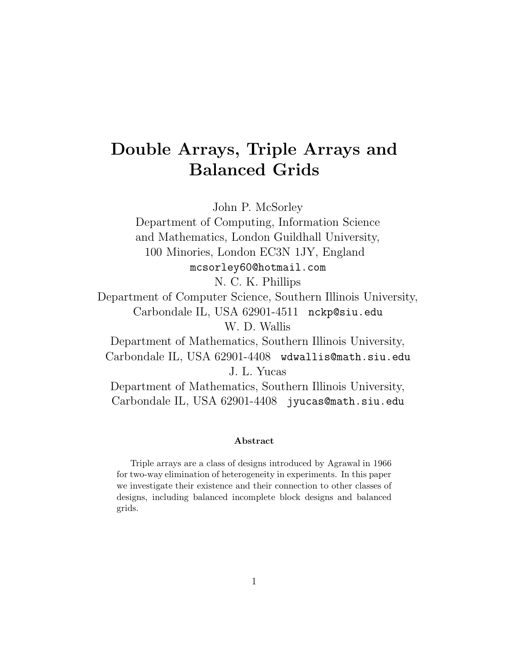# **Double Arrays, Triple Arrays and Balanced Grids**

John P. McSorley

Department of Computing, Information Science and Mathematics, London Guildhall University, 100 Minories, London EC3N 1JY, England mcsorley60@hotmail.com

N. C. K. Phillips

Department of Computer Science, Southern Illinois University, Carbondale IL, USA 62901-4511 nckp@siu.edu W. D. Wallis

Department of Mathematics, Southern Illinois University, Carbondale IL, USA 62901-4408 wdwallis@math.siu.edu J. L. Yucas

Department of Mathematics, Southern Illinois University, Carbondale IL, USA 62901-4408 jyucas@math.siu.edu

#### **Abstract**

Triple arrays are a class of designs introduced by Agrawal in 1966 for two-way elimination of heterogeneity in experiments. In this paper we investigate their existence and their connection to other classes of designs, including balanced incomplete block designs and balanced grids.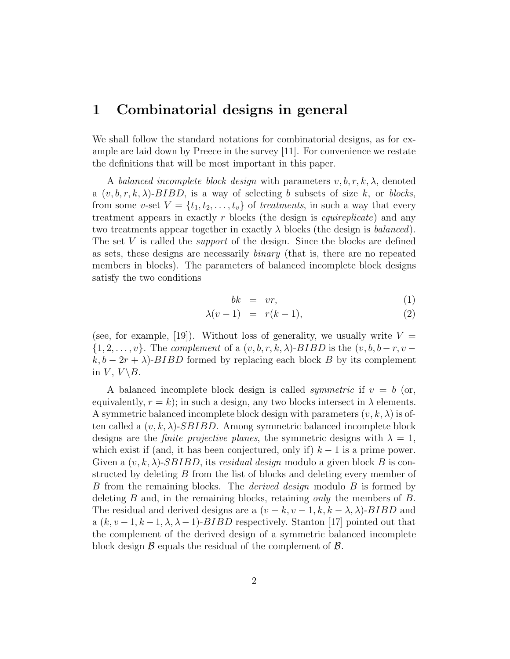#### **1 Combinatorial designs in general**

We shall follow the standard notations for combinatorial designs, as for example are laid down by Preece in the survey [11]. For convenience we restate the definitions that will be most important in this paper.

A *balanced incomplete block design* with parameters *v, b, r, k, λ*, denoted a  $(v, b, r, k, \lambda)$ -*BIBD*, is a way of selecting *b* subsets of size *k*, or *blocks*, from some *v*-set  $V = \{t_1, t_2, \ldots, t_v\}$  of *treatments*, in such a way that every treatment appears in exactly *r* blocks (the design is *equireplicate*) and any two treatments appear together in exactly  $\lambda$  blocks (the design is *balanced*). The set *V* is called the *support* of the design. Since the blocks are defined as sets, these designs are necessarily *binary* (that is, there are no repeated members in blocks). The parameters of balanced incomplete block designs satisfy the two conditions

$$
bk = vr,\t(1)
$$

$$
\lambda(v-1) = r(k-1), \tag{2}
$$

(see, for example, [19]). Without loss of generality, we usually write  $V =$ *{*1*,* 2*,...,v}*. The *complement* of a (*v, b, r, k, λ*)−*BIBD* is the (*v, b, b − r, v* −  $k, b - 2r + \lambda$ )-*BIBD* formed by replacing each block *B* by its complement in  $V, V \ B$ .

A balanced incomplete block design is called *symmetric* if  $v = b$  (or, equivalently,  $r = k$ ); in such a design, any two blocks intersect in  $\lambda$  elements. A symmetric balanced incomplete block design with parameters  $(v, k, \lambda)$  is often called a  $(v, k, \lambda)$ -*SBIBD*. Among symmetric balanced incomplete block designs are the *finite projective planes*, the symmetric designs with  $\lambda = 1$ , which exist if (and, it has been conjectured, only if)  $k - 1$  is a prime power. Given a (*v, k, λ*)-*SBIBD*, its *residual design* modulo a given block *B* is constructed by deleting *B* from the list of blocks and deleting every member of *B* from the remaining blocks. The *derived design* modulo *B* is formed by deleting *B* and, in the remaining blocks, retaining *only* the members of *B*. The residual and derived designs are a  $(v - k, v - 1, k, k - \lambda, \lambda)$ -*BIBD* and a  $(k, v-1, k-1, \lambda, \lambda-1)$ -*BIBD* respectively. Stanton [17] pointed out that the complement of the derived design of a symmetric balanced incomplete block design *B* equals the residual of the complement of *B*.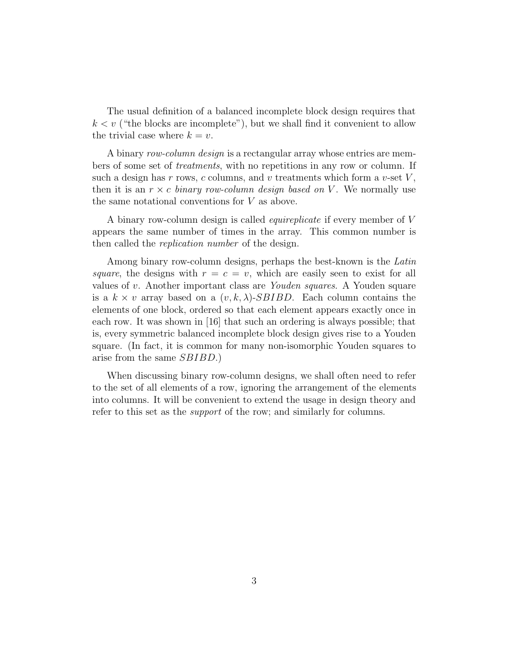The usual definition of a balanced incomplete block design requires that  $k < v$  ("the blocks are incomplete"), but we shall find it convenient to allow the trivial case where  $k = v$ .

A binary *row-column design* is a rectangular array whose entries are members of some set of *treatments*, with no repetitions in any row or column. If such a design has *r* rows, *c* columns, and *v* treatments which form a *v*-set *V* , then it is an  $r \times c$  *binary row-column design based on* V. We normally use the same notational conventions for *V* as above.

A binary row-column design is called *equireplicate* if every member of *V* appears the same number of times in the array. This common number is then called the *replication number* of the design.

Among binary row-column designs, perhaps the best-known is the *Latin square*, the designs with  $r = c = v$ , which are easily seen to exist for all values of *v*. Another important class are *Youden squares*. A Youden square is a  $k \times v$  array based on a  $(v, k, \lambda)$ -*SBIBD*. Each column contains the elements of one block, ordered so that each element appears exactly once in each row. It was shown in [16] that such an ordering is always possible; that is, every symmetric balanced incomplete block design gives rise to a Youden square. (In fact, it is common for many non-isomorphic Youden squares to arise from the same *SBIBD*.)

When discussing binary row-column designs, we shall often need to refer to the set of all elements of a row, ignoring the arrangement of the elements into columns. It will be convenient to extend the usage in design theory and refer to this set as the *support* of the row; and similarly for columns.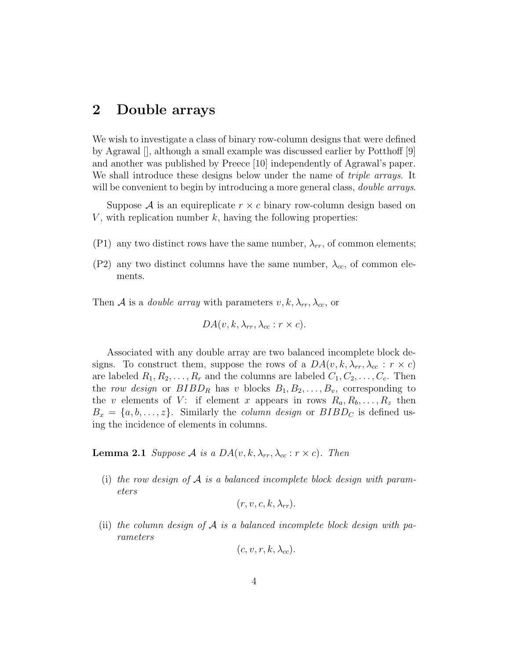#### **2 Double arrays**

We wish to investigate a class of binary row-column designs that were defined by Agrawal [], although a small example was discussed earlier by Potthoff [9] and another was published by Preece [10] independently of Agrawal's paper. We shall introduce these designs below under the name of *triple arrays*. It will be convenient to begin by introducing a more general class, *double arrays*.

Suppose  $\mathcal A$  is an equireplicate  $r \times c$  binary row-column design based on *V*, with replication number *k*, having the following properties:

- (P1) any two distinct rows have the same number,  $\lambda_{rr}$ , of common elements;
- (P2) any two distinct columns have the same number,  $\lambda_{cc}$ , of common elements.

Then *A* is a *double array* with parameters  $v, k, \lambda_{rr}, \lambda_{cc}$ , or

$$
DA(v, k, \lambda_{rr}, \lambda_{cc}: r \times c).
$$

Associated with any double array are two balanced incomplete block designs. To construct them, suppose the rows of a  $DA(v, k, \lambda_{rr}, \lambda_{cc} : r \times c)$ are labeled  $R_1, R_2, \ldots, R_r$  and the columns are labeled  $C_1, C_2, \ldots, C_c$ . Then the *row design* or  $BIBD_R$  has *v* blocks  $B_1, B_2, \ldots, B_v$ , corresponding to the *v* elements of *V*: if element *x* appears in rows  $R_a, R_b, \ldots, R_z$  then  $B_x = \{a, b, \ldots, z\}$ . Similarly the *column design* or  $BIBD<sub>C</sub>$  is defined using the incidence of elements in columns.

**Lemma 2.1** *Suppose A is a DA*(*v, k,*  $\lambda_{rr}, \lambda_{cc} : r \times c$ )*. Then* 

(i) *the row design of A is a balanced incomplete block design with parameters*

$$
(r, v, c, k, \lambda_{rr}).
$$

(ii) *the column design of A is a balanced incomplete block design with parameters*

$$
(c, v, r, k, \lambda_{cc}).
$$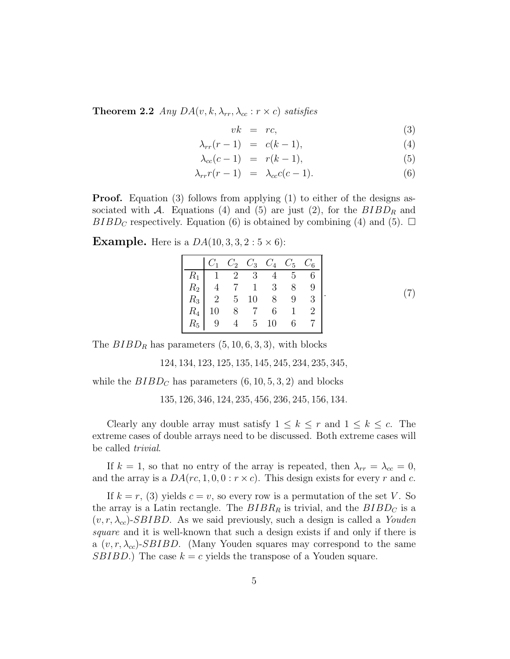**Theorem 2.2** *Any*  $DA(v, k, \lambda_{rr}, \lambda_{cc} : r \times c)$  *satisfies* 

$$
vk = rc,
$$
\n<sup>(3)</sup>

$$
\lambda_{rr}(r-1) = c(k-1), \tag{4}
$$

$$
\lambda_{cc}(c-1) = r(k-1), \tag{5}
$$

$$
\lambda_{rr}r(r-1) = \lambda_{cc}c(c-1). \tag{6}
$$

**Proof.** Equation (3) follows from applying (1) to either of the designs associated with  $A$ . Equations (4) and (5) are just (2), for the  $BIBD<sub>R</sub>$  and *BIBD<sub>C</sub>* respectively. Equation (6) is obtained by combining (4) and (5).  $\Box$ 

**Example.** Here is a  $DA(10, 3, 3, 2:5 \times 6)$ :

|            |                 |                                                | $C_1$ $C_2$ $C_3$ $C_4$ $C_5$ $C_6$ |
|------------|-----------------|------------------------------------------------|-------------------------------------|
|            |                 |                                                |                                     |
|            | $R_2$ 4 7 1 3 8 |                                                |                                     |
|            |                 |                                                | $R_3$ 2 5 10 8 9 3                  |
| $R_4$ 10 8 |                 | $\begin{array}{ccc} 7 & 6 & 1 & 2 \end{array}$ |                                     |
|            | $R_5$ 9 4 5 10  |                                                | 6 7 1                               |

*.* (7)

The  $BIBD_R$  has parameters  $(5, 10, 6, 3, 3)$ , with blocks

124*,* 134*,* 123*,* 125*,* 135*,* 145*,* 245*,* 234*,* 235*,* 345*,*

while the  $BIBD<sub>C</sub>$  has parameters  $(6, 10, 5, 3, 2)$  and blocks

135*,* 126*,* 346*,* 124*,* 235*,* 456*,* 236*,* 245*,* 156*,* 134*.*

Clearly any double array must satisfy  $1 \leq k \leq r$  and  $1 \leq k \leq c$ . The extreme cases of double arrays need to be discussed. Both extreme cases will be called *trivial*.

If  $k = 1$ , so that no entry of the array is repeated, then  $\lambda_{rr} = \lambda_{cc} = 0$ , and the array is a  $DA(rc, 1, 0, 0 : r \times c)$ . This design exists for every *r* and *c*.

If  $k = r$ , (3) yields  $c = v$ , so every row is a permutation of the set *V*. So the array is a Latin rectangle. The  $BIBR_R$  is trivial, and the  $BIBD_C$  is a  $(v, r, \lambda_{cc})$ -*SBIBD*. As we said previously, such a design is called a *Youden square* and it is well-known that such a design exists if and only if there is a  $(v, r, \lambda_{cc})$ -*SBIBD*. (Many Youden squares may correspond to the same *SBIBD*.) The case  $k = c$  yields the transpose of a Youden square.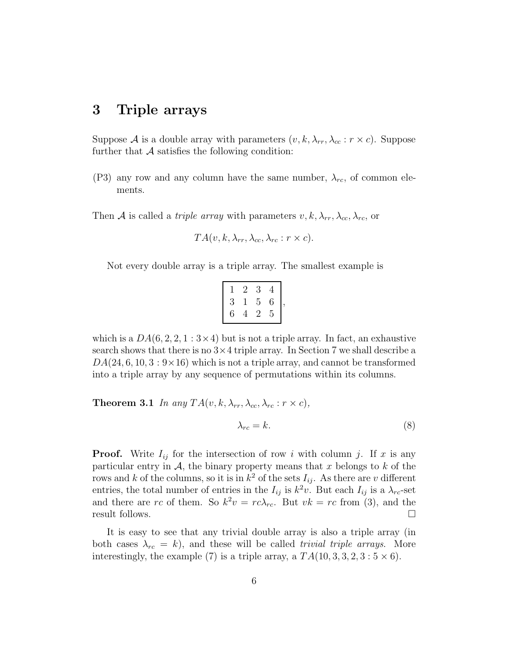#### **3 Triple arrays**

Suppose *A* is a double array with parameters  $(v, k, \lambda_{rr}, \lambda_{cc} : r \times c)$ . Suppose further that  $A$  satisfies the following condition:

(P3) any row and any column have the same number,  $\lambda_{rc}$ , of common elements.

Then *A* is called a *triple array* with parameters  $v, k, \lambda_{rr}, \lambda_{cc}, \lambda_{rc}$  or

$$
TA(v, k, \lambda_{rr}, \lambda_{cc}, \lambda_{rc}: r \times c).
$$

Not every double array is a triple array. The smallest example is

|   | 2 | 3 | 4 |  |
|---|---|---|---|--|
| 3 | L | 5 | 6 |  |
| 6 | 4 | 2 | 5 |  |

which is a  $DA(6, 2, 2, 1:3\times4)$  but is not a triple array. In fact, an exhaustive search shows that there is no 3*×*4 triple array. In Section 7 we shall describe a  $DA(24, 6, 10, 3:9\times16)$  which is not a triple array, and cannot be transformed into a triple array by any sequence of permutations within its columns.

**Theorem 3.1** *In any*  $TA(v, k, \lambda_{rr}, \lambda_{cc}, \lambda_{rc}: r \times c)$ *,* 

$$
\lambda_{rc} = k. \tag{8}
$$

**Proof.** Write  $I_{ij}$  for the intersection of row *i* with column *j*. If *x* is any particular entry in  $A$ , the binary property means that  $x$  belongs to  $k$  of the rows and *k* of the columns, so it is in  $k^2$  of the sets  $I_{ij}$ . As there are *v* different entries, the total number of entries in the  $I_{ij}$  is  $k^2v$ . But each  $I_{ij}$  is a  $\lambda_{rc}$ -set and there are rc of them. So  $k^2v = rc\lambda_{rc}$ . But  $vk = rc$  from (3), and the result follows.

It is easy to see that any trivial double array is also a triple array (in both cases  $\lambda_{rc} = k$ , and these will be called *trivial triple arrays*. More interestingly, the example (7) is a triple array, a  $TA(10, 3, 3, 2, 3:5 \times 6)$ .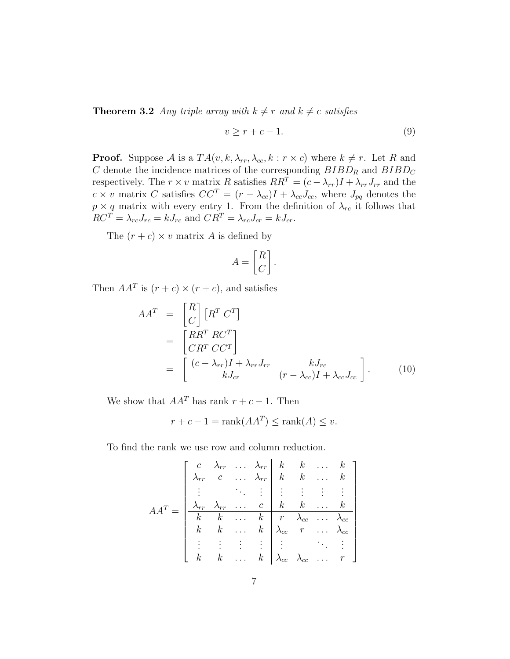**Theorem 3.2** *Any triple array with*  $k \neq r$  *and*  $k \neq c$  *satisfies* 

$$
v \ge r + c - 1. \tag{9}
$$

**Proof.** Suppose *A* is a  $TA(v, k, \lambda_{rr}, \lambda_{cc}, k : r \times c)$  where  $k \neq r$ . Let *R* and *C* denote the incidence matrices of the corresponding  $BIBD<sub>R</sub>$  and  $BIBD<sub>C</sub>$ respectively. The  $r \times v$  matrix *R* satisfies  $RR^T = (c - \lambda_{rr})I + \lambda_{rr}J_{rr}$  and the  $c \times v$  matrix *C* satisfies  $CC^{T} = (r - \lambda_{cc})I + \lambda_{cc}J_{cc}$ , where  $J_{pq}$  denotes the  $p \times q$  matrix with every entry 1. From the definition of  $\lambda_{rc}$  it follows that  $RC^T = \lambda_{rc}J_{rc} = kJ_{rc}$  and  $CR^T = \lambda_{rc}J_{cr} = kJ_{cr}$ .

The  $(r + c) \times v$  matrix *A* is defined by

$$
A = \begin{bmatrix} R \\ C \end{bmatrix}.
$$

Then  $AA^T$  is  $(r + c) \times (r + c)$ , and satisfies

$$
AAT = \begin{bmatrix} R \\ C \end{bmatrix} \begin{bmatrix} RT CT \end{bmatrix}
$$
  
= 
$$
\begin{bmatrix} RRT RCT \\ CRT CCT \\ = \begin{bmatrix} (c - \lambda_{rr})I + \lambda_{rr}J_{rr} & kJ_{rc} \\ kJ_{cr} & (r - \lambda_{cc})I + \lambda_{cc}J_{cc} \end{bmatrix}.
$$
 (10)

We show that  $AA<sup>T</sup>$  has rank  $r + c - 1$ . Then

$$
r + c - 1 = \text{rank}(AA^T) \le \text{rank}(A) \le v.
$$

To find the rank we use row and column reduction.

$$
AA^{T} = \begin{bmatrix} c & \lambda_{rr} & \dots & \lambda_{rr} & k & k & \dots & k \\ \lambda_{rr} & c & \dots & \lambda_{rr} & k & k & \dots & k \\ \vdots & & \ddots & \vdots & \vdots & \vdots & \vdots & \vdots \\ \lambda_{rr} & \lambda_{rr} & \dots & c & k & k & \dots & k \\ k & k & \dots & k & r & \lambda_{cc} & \dots & \lambda_{cc} \\ \vdots & \vdots & \vdots & \vdots & \vdots & \vdots & \ddots & \vdots \\ k & k & \dots & k & \lambda_{cc} & \lambda_{cc} & \dots & r \end{bmatrix}
$$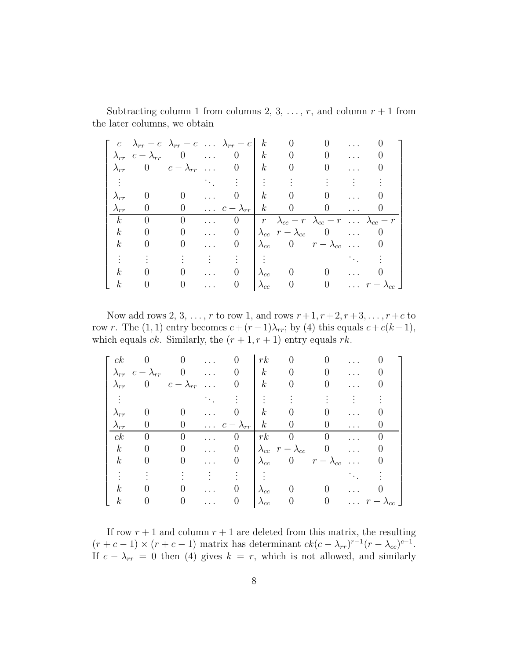|                  | $c \lambda_{rr} - c \lambda_{rr} - c \ldots \lambda_{rr} - c$                                               |                   |                         |                               | $\kappa$            | $\begin{array}{cc} 0 \end{array}$ |                                                                      |  |
|------------------|-------------------------------------------------------------------------------------------------------------|-------------------|-------------------------|-------------------------------|---------------------|-----------------------------------|----------------------------------------------------------------------|--|
|                  | $\lambda_{rr}$ $c - \lambda_{rr}$ 0                                                                         |                   |                         |                               | $\lfloor k \rfloor$ |                                   | $0 \qquad 0 \qquad \ldots$                                           |  |
| $\lambda_{rr}$   | 0 $c - \lambda_{rr}$ 0   k 0                                                                                |                   |                         |                               |                     |                                   |                                                                      |  |
|                  | $\mathbf{F}^{(n)}$ and $\mathbf{F}^{(n)}$ are the set of $\mathbf{F}^{(n)}$ . The set of $\mathbf{F}^{(n)}$ |                   |                         |                               |                     |                                   | $\mathcal{L}(\mathbb{R}^n)$ . The set of $\mathcal{L}(\mathbb{R}^n)$ |  |
|                  | $\begin{array}{cc} 0 \end{array}$                                                                           | $0 \qquad \ldots$ |                         |                               |                     |                                   | $0 \mid k \mid 0 \mid 0 \ldots$                                      |  |
| $\lambda_{rr}$   | $\overline{0}$                                                                                              |                   |                         | 0 $c - \lambda_{rr}$ k 0 0  0 |                     |                                   |                                                                      |  |
|                  |                                                                                                             |                   |                         |                               |                     |                                   |                                                                      |  |
| k <sub>i</sub>   | $\overline{0}$                                                                                              | $\overline{0}$    |                         | $\theta$                      |                     |                                   | $r \lambda_{cc} - r \lambda_{cc} - r \ldots \lambda_{cc} - r$        |  |
| $\boldsymbol{k}$ | $\overline{0}$                                                                                              | $\overline{0}$    |                         | $\overline{0}$                |                     |                                   | $\lambda_{cc}$ $r - \lambda_{cc}$ 0                                  |  |
| $\kappa$         | $\begin{matrix} 0 \end{matrix}$                                                                             | $0 \qquad \ldots$ |                         | $\vert 0 \vert$               |                     |                                   | $\lambda_{cc}$ 0 $r - \lambda_{cc}$ 0                                |  |
|                  |                                                                                                             |                   |                         |                               |                     |                                   |                                                                      |  |
| $\kappa$         | $\overline{0}$                                                                                              | $\overline{0}$    | $\sim 1.1\,$ km $^{-1}$ |                               |                     |                                   | $\lambda_{cc}$ 0 0                                                   |  |

Subtracting column 1 from columns 2, 3, ...,  $r$ , and column  $r + 1$  from the later columns, we obtain

Now add rows 2, 3, ..., *r* to row 1, and rows  $r+1$ ,  $r+2$ ,  $r+3$ , ...,  $r+c$  to row *r*. The (1, 1) entry becomes  $c + (r-1)\lambda_r$ ; by (4) this equals  $c + c(k-1)$ , which equals *ck*. Similarly, the  $(r + 1, r + 1)$  entry equals *rk*.

| ck               |                                   |                      | $\cdots$ |                               | rk                   | $\theta$                          |                      |          |                             |
|------------------|-----------------------------------|----------------------|----------|-------------------------------|----------------------|-----------------------------------|----------------------|----------|-----------------------------|
|                  | $\lambda_{rr}$ $c - \lambda_{rr}$ | $0 \qquad \ldots$    |          |                               | $\boldsymbol{k}$     | $\overline{0}$                    | $\Omega$             |          |                             |
| $\lambda_{rr}$   |                                   | 0 $c - \lambda_{rr}$ |          |                               | $\boldsymbol{k}$     | $\overline{0}$                    |                      |          |                             |
|                  |                                   |                      |          |                               |                      |                                   |                      |          |                             |
| $\lambda_{rr}$   |                                   | $\overline{0}$       |          |                               | $\boldsymbol{k}$     | $\overline{0}$                    | 0                    |          |                             |
| $\lambda_{rr}$   | $\theta$                          |                      |          | 0 $\ldots$ $c - \lambda_{rr}$ | k                    | $\vert 0 \vert$                   | $\overline{0}$       |          |                             |
| ck               | $\Omega$                          | $\overline{0}$       |          | $\theta$                      | $\lfloor rk \rfloor$ | $\overline{0}$                    | $\overline{0}$       |          |                             |
| $\boldsymbol{k}$ | $\theta$                          | $\boldsymbol{0}$     | $\cdots$ | $\theta$                      |                      | $\lambda_{cc}$ $r - \lambda_{cc}$ | $\overline{0}$       | $\cdots$ |                             |
| $\boldsymbol{k}$ | $\theta$                          | $\boldsymbol{0}$     | $\cdots$ | $\theta$                      | $\lambda_{cc}$       |                                   | 0 $r - \lambda_{cc}$ |          |                             |
|                  |                                   |                      |          |                               |                      |                                   |                      |          |                             |
| $\boldsymbol{k}$ |                                   | 0                    |          |                               | $\lambda_{cc}$       | $\begin{array}{c} 0 \end{array}$  |                      |          |                             |
| $\,k$            | $\theta$                          | $\overline{0}$       |          |                               | $\lambda_{cc}$       | $\theta$                          | $\vert 0 \vert$      |          | $\ldots$ $r - \lambda_{cc}$ |

If row  $r + 1$  and column  $r + 1$  are deleted from this matrix, the resulting  $(r + c - 1) \times (r + c - 1)$  matrix has determinant  $ck(c - \lambda_{rr})^{r-1}(r - \lambda_{cc})^{c-1}$ . If  $c - \lambda_{rr} = 0$  then (4) gives  $k = r$ , which is not allowed, and similarly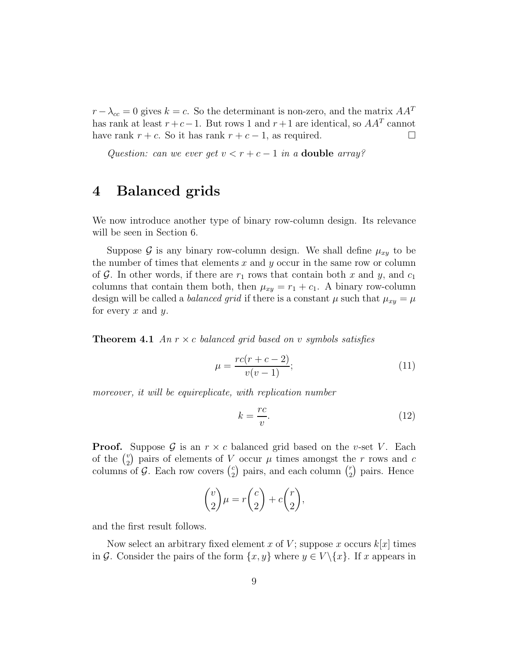$r - \lambda_{cc} = 0$  gives  $k = c$ . So the determinant is non-zero, and the matrix  $AA<sup>T</sup>$ has rank at least  $r + c - 1$ . But rows 1 and  $r + 1$  are identical, so  $AA<sup>T</sup>$  cannot have rank  $r + c$ . So it has rank  $r + c - 1$ , as required.

*Question: can we ever get*  $v < r + c - 1$  *in a* **double** *array?* 

#### **4 Balanced grids**

We now introduce another type of binary row-column design. Its relevance will be seen in Section 6.

Suppose  $\mathcal G$  is any binary row-column design. We shall define  $\mu_{xy}$  to be the number of times that elements *x* and *y* occur in the same row or column of  $\mathcal{G}$ . In other words, if there are  $r_1$  rows that contain both x and y, and  $c_1$ columns that contain them both, then  $\mu_{xy} = r_1 + c_1$ . A binary row-column design will be called a *balanced grid* if there is a constant  $\mu$  such that  $\mu_{xy} = \mu$ for every *x* and *y*.

**Theorem 4.1** *An*  $r \times c$  *balanced grid based on v symbols satisfies* 

$$
\mu = \frac{rc(r + c - 2)}{v(v - 1)};
$$
\n(11)

*moreover, it will be equireplicate, with replication number*

$$
k = \frac{rc}{v}.\tag{12}
$$

**Proof.** Suppose  $\mathcal{G}$  is an  $r \times c$  balanced grid based on the *v*-set *V*. Each of the  $\binom{v}{2}$  pairs of elements of *V* occur  $\mu$  times amongst the *r* rows and *c* columns of  $G$ . Each row covers  $\binom{c}{2}$ ) pairs, and each column  $\binom{r}{2}$ pairs. Hence

$$
\binom{v}{2}\mu = r\binom{c}{2} + c\binom{r}{2},
$$

and the first result follows.

Now select an arbitrary fixed element *x* of *V*; suppose *x* occurs  $k[x]$  times in *G*. Consider the pairs of the form  $\{x, y\}$  where  $y \in V \setminus \{x\}$ . If *x* appears in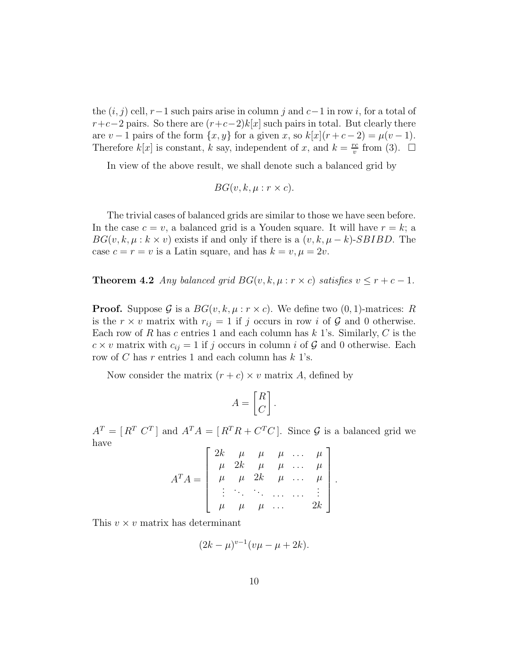the (*i, j*) cell, *r−*1 such pairs arise in column *j* and *c−*1 in row *i*, for a total of  $r+c-2$  pairs. So there are  $(r+c-2)k[x]$  such pairs in total. But clearly there are  $v - 1$  pairs of the form  $\{x, y\}$  for a given *x*, so  $k[x](r + c - 2) = \mu(v - 1)$ . Therefore  $k[x]$  is constant,  $k$  say, independent of  $x$ , and  $k = \frac{rc}{v}$  from (3).  $\Box$ 

In view of the above result, we shall denote such a balanced grid by

$$
BG(v, k, \mu : r \times c).
$$

The trivial cases of balanced grids are similar to those we have seen before. In the case  $c = v$ , a balanced grid is a Youden square. It will have  $r = k$ ; a  $BG(v, k, \mu : k \times v)$  exists if and only if there is a  $(v, k, \mu - k)$ -*SBIBD*. The case  $c = r = v$  is a Latin square, and has  $k = v, \mu = 2v$ .

**Theorem 4.2** *Any balanced grid*  $BG(v, k, \mu : r \times c)$  *satisfies*  $v \leq r + c - 1$ *.* 

**Proof.** Suppose G is a  $BG(v, k, \mu : r \times c)$ . We define two  $(0, 1)$ -matrices: R is the  $r \times v$  matrix with  $r_{ij} = 1$  if *j* occurs in row *i* of  $\mathcal{G}$  and 0 otherwise. Each row of *R* has *c* entries 1 and each column has *k* 1's. Similarly, *C* is the  $c \times v$  matrix with  $c_{ij} = 1$  if *j* occurs in column *i* of *G* and 0 otherwise. Each row of *C* has *r* entries 1 and each column has *k* 1's.

Now consider the matrix  $(r + c) \times v$  matrix *A*, defined by

$$
A = \begin{bmatrix} R \\ C \end{bmatrix}.
$$

 $A<sup>T</sup> = [R<sup>T</sup> C<sup>T</sup>]$  and  $A<sup>T</sup>A = [R<sup>T</sup>R + C<sup>T</sup>C]$ . Since *G* is a balanced grid we have  $\overline{1}$  $\overline{1}$ 

$$
A^T A = \left[\begin{array}{cccc} 2k & \mu & \mu & \mu & \dots & \mu \\ \mu & 2k & \mu & \mu & \dots & \mu \\ \mu & \mu & 2k & \mu & \dots & \mu \\ \vdots & \vdots & \ddots & \vdots & \vdots \\ \mu & \mu & \mu & \dots & 2k \end{array}\right].
$$

This *v × v* matrix has determinant

$$
(2k - \mu)^{v-1}(v\mu - \mu + 2k).
$$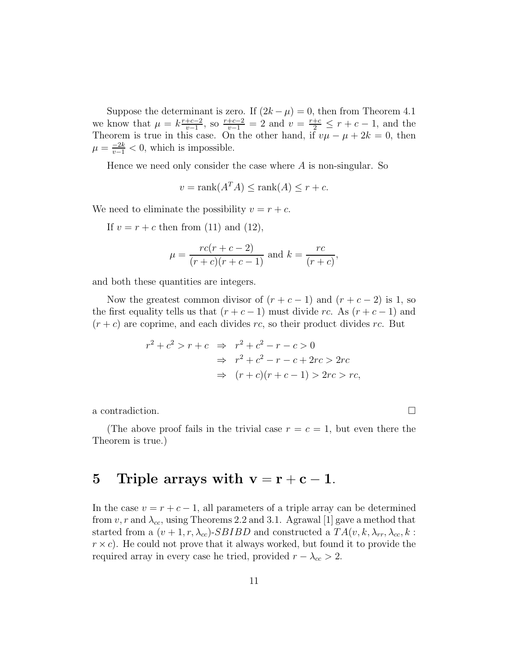Suppose the determinant is zero. If  $(2k - \mu) = 0$ , then from Theorem 4.1 we know that  $\mu = k \frac{r+c-2}{v-1}$ , so  $\frac{r+c-2}{v-1} = 2$  and  $v = \frac{r+c}{2} \leq r + c - 1$ , and the Theorem is true in this case. On the other hand, if  $v\mu - \mu + 2k = 0$ , then  $\mu = \frac{-2k}{v-1} < 0$ , which is impossible.

Hence we need only consider the case where *A* is non-singular. So

$$
v = \text{rank}(A^T A) \le \text{rank}(A) \le r + c.
$$

We need to eliminate the possibility  $v = r + c$ .

If  $v = r + c$  then from (11) and (12),

$$
\mu = \frac{rc(r + c - 2)}{(r + c)(r + c - 1)}
$$
 and  $k = \frac{rc}{(r + c)}$ ,

and both these quantities are integers.

Now the greatest common divisor of  $(r + c - 1)$  and  $(r + c - 2)$  is 1, so the first equality tells us that  $(r + c - 1)$  must divide *rc*. As  $(r + c - 1)$  and  $(r + c)$  are coprime, and each divides *rc*, so their product divides *rc*. But

$$
r^2 + c^2 > r + c \Rightarrow r^2 + c^2 - r - c > 0
$$
  

$$
\Rightarrow r^2 + c^2 - r - c + 2rc > 2rc
$$
  

$$
\Rightarrow (r + c)(r + c - 1) > 2rc > rc,
$$

a contradiction.  $\Box$ 

(The above proof fails in the trivial case  $r = c = 1$ , but even there the Theorem is true.)

#### **5** Triple arrays with  $v = r + c - 1$ *.*

In the case  $v = r + c - 1$ , all parameters of a triple array can be determined from  $v, r$  and  $\lambda_{cc}$ , using Theorems 2.2 and 3.1. Agrawal [1] gave a method that started from a  $(v + 1, r, \lambda_{cc})$ -*SBIBD* and constructed a  $TA(v, k, \lambda_{rr}, \lambda_{cc}, k$ :  $r \times c$ ). He could not prove that it always worked, but found it to provide the required array in every case he tried, provided  $r - \lambda_{cc} > 2$ .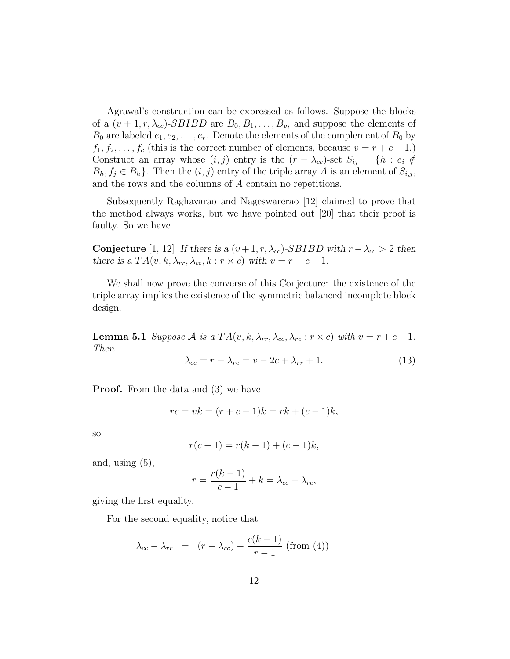Agrawal's construction can be expressed as follows. Suppose the blocks of a  $(v+1, r, \lambda_{cc})$ -*SBIBD* are  $B_0, B_1, \ldots, B_v$ , and suppose the elements of  $B_0$  are labeled  $e_1, e_2, \ldots, e_r$ . Denote the elements of the complement of  $B_0$  by  $f_1, f_2, \ldots, f_c$  (this is the correct number of elements, because  $v = r + c - 1$ .) Construct an array whose  $(i, j)$  entry is the  $(r - \lambda_{cc})$ -set  $S_{ij} = \{h : e_i \notin$  $B_h, f_j \in B_h$ . Then the  $(i, j)$  entry of the triple array *A* is an element of  $S_{i,j}$ , and the rows and the columns of *A* contain no repetitions.

Subsequently Raghavarao and Nageswarerao [12] claimed to prove that the method always works, but we have pointed out [20] that their proof is faulty. So we have

**Conjecture** [1, 12] If there is a  $(v+1, r, \lambda_{cc})$ -*SBIBD* with  $r - \lambda_{cc} > 2$  then there is a  $TA(v, k, \lambda_r, \lambda_{cc}, k : r \times c)$  with  $v = r + c - 1$ .

We shall now prove the converse of this Conjecture: the existence of the triple array implies the existence of the symmetric balanced incomplete block design.

**Lemma 5.1** *Suppose A is a TA*(*v, k,*  $\lambda_{rr}, \lambda_{cc}, \lambda_{rc} : r \times c$ *) <i>with*  $v = r + c - 1$ *. Then*

$$
\lambda_{cc} = r - \lambda_{rc} = v - 2c + \lambda_{rr} + 1. \tag{13}
$$

**Proof.** From the data and (3) we have

$$
rc = vk = (r + c - 1)k = rk + (c - 1)k,
$$

so

$$
r(c-1) = r(k-1) + (c-1)k,
$$

and, using  $(5)$ ,

$$
r = \frac{r(k-1)}{c-1} + k = \lambda_{cc} + \lambda_{rc},
$$

giving the first equality.

For the second equality, notice that

$$
\lambda_{cc} - \lambda_{rr} = (r - \lambda_{rc}) - \frac{c(k-1)}{r-1} \text{ (from (4))}
$$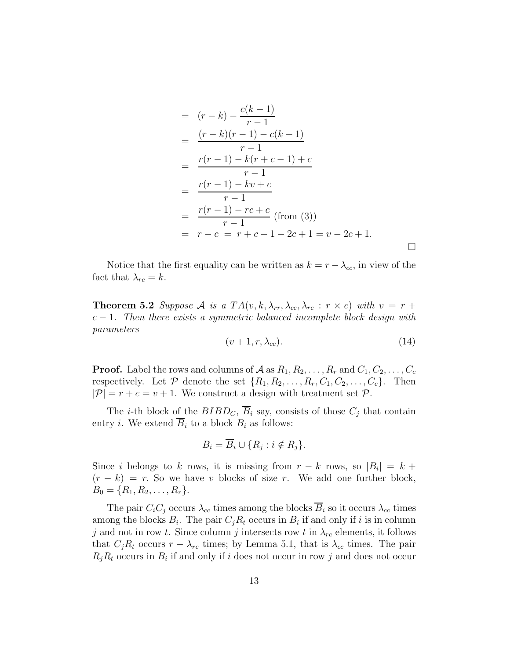$$
= (r-k) - \frac{c(k-1)}{r-1}
$$
  
\n
$$
= \frac{(r-k)(r-1) - c(k-1)}{r-1}
$$
  
\n
$$
= \frac{r(r-1) - k(r+c-1) + c}{r-1}
$$
  
\n
$$
= \frac{r(r-1) - kv + c}{r-1}
$$
  
\n
$$
= \frac{r(r-1) - rc + c}{r-1} \text{ (from (3))}
$$
  
\n
$$
= r - c = r + c - 1 - 2c + 1 = v - 2c + 1.
$$

Notice that the first equality can be written as  $k = r - \lambda_{cc}$ , in view of the fact that  $\lambda_{rc} = k$ .

**Theorem 5.2** *Suppose A is a*  $TA(v, k, \lambda_{rr}, \lambda_{cc}, \lambda_{rc} : r \times c)$  *with*  $v = r + \lambda_{rc}$ *c −* 1*. Then there exists a symmetric balanced incomplete block design with parameters*

$$
(v+1,r,\lambda_{cc}).\t\t(14)
$$

**Proof.** Label the rows and columns of  $A$  as  $R_1, R_2, \ldots, R_r$  and  $C_1, C_2, \ldots, C_c$ respectively. Let  $P$  denote the set  $\{R_1, R_2, \ldots, R_r, C_1, C_2, \ldots, C_c\}$ . Then  $|\mathcal{P}| = r + c = v + 1$ . We construct a design with treatment set  $\mathcal{P}$ .

The *i*-th block of the  $BIBD<sub>C</sub>$ ,  $\overline{B}_i$  say, consists of those  $C_i$  that contain entry *i*. We extend  $\overline{B}_i$  to a block  $B_i$  as follows:

$$
B_i = \overline{B}_i \cup \{ R_j : i \notin R_j \}.
$$

Since *i* belongs to *k* rows, it is missing from  $r - k$  rows, so  $|B_i| = k +$  $(r - k) = r$ . So we have *v* blocks of size *r*. We add one further block,  $B_0 = \{R_1, R_2, \ldots, R_r\}.$ 

The pair  $C_iC_j$  occurs  $\lambda_{cc}$  times among the blocks  $\overline{B}_i$  so it occurs  $\lambda_{cc}$  times among the blocks  $B_i$ . The pair  $C_j R_t$  occurs in  $B_i$  if and only if *i* is in column *j* and not in row *t*. Since column *j* intersects row *t* in  $\lambda_{rc}$  elements, it follows that  $C_i R_t$  occurs  $r - \lambda_{rc}$  times; by Lemma 5.1, that is  $\lambda_{cc}$  times. The pair  $R_jR_t$  occurs in  $B_i$  if and only if *i* does not occur in row *j* and does not occur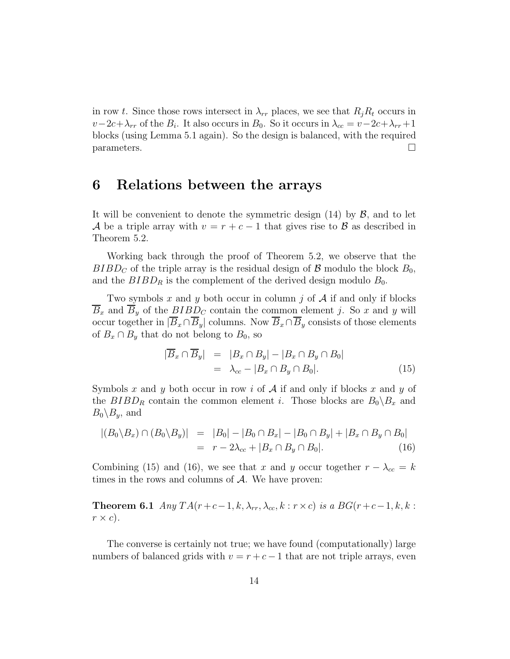in row *t*. Since those rows intersect in  $\lambda_{rr}$  places, we see that  $R_iR_t$  occurs in  $v-2c+\lambda_{rr}$  of the  $B_i$ . It also occurs in  $B_0$ . So it occurs in  $\lambda_{cc} = v-2c+\lambda_{rr}+1$ blocks (using Lemma 5.1 again). So the design is balanced, with the required  $\Box$  parameters.

#### **6 Relations between the arrays**

It will be convenient to denote the symmetric design (14) by *B*, and to let *A* be a triple array with  $v = r + c - 1$  that gives rise to *B* as described in Theorem 5.2.

Working back through the proof of Theorem 5.2, we observe that the *BIBD<sub>C</sub>* of the triple array is the residual design of  $\beta$  modulo the block  $B_0$ , and the  $BIBD_R$  is the complement of the derived design modulo  $B_0$ .

Two symbols *x* and *y* both occur in column *j* of *A* if and only if blocks  $\overline{B}_x$  and  $\overline{B}_y$  of the  $BIBD_C$  contain the common element *j*. So *x* and *y* will occur together in  $|\overline{B}_x \cap \overline{B}_y|$  columns. Now  $\overline{B}_x \cap \overline{B}_y$  consists of those elements of  $B_x \cap B_y$  that do not belong to  $B_0$ , so

$$
\begin{aligned}\n|\overline{B}_x \cap \overline{B}_y| &= |B_x \cap B_y| - |B_x \cap B_y \cap B_0| \\
&= \lambda_{cc} - |B_x \cap B_y \cap B_0|\n\end{aligned} \tag{15}
$$

Symbols *x* and *y* both occur in row *i* of *A* if and only if blocks *x* and *y* of the  $BIBD_R$  contain the common element *i*. Those blocks are  $B_0 \setminus B_x$  and  $B_0 \backslash B_y$ , and

$$
|(B_0 \setminus B_x) \cap (B_0 \setminus B_y)| = |B_0| - |B_0 \cap B_x| - |B_0 \cap B_y| + |B_x \cap B_y \cap B_0|
$$
  
=  $r - 2\lambda_{cc} + |B_x \cap B_y \cap B_0|$ . (16)

Combining (15) and (16), we see that *x* and *y* occur together  $r - \lambda_{cc} = k$ times in the rows and columns of *A*. We have proven:

**Theorem 6.1** *Any*  $TA(r+c-1, k, \lambda_{rr}, \lambda_{cc}, k : r \times c)$  *is a*  $BG(r+c-1, k, k : r \times c)$  $r \times c$ ).

The converse is certainly not true; we have found (computationally) large numbers of balanced grids with  $v = r + c - 1$  that are not triple arrays, even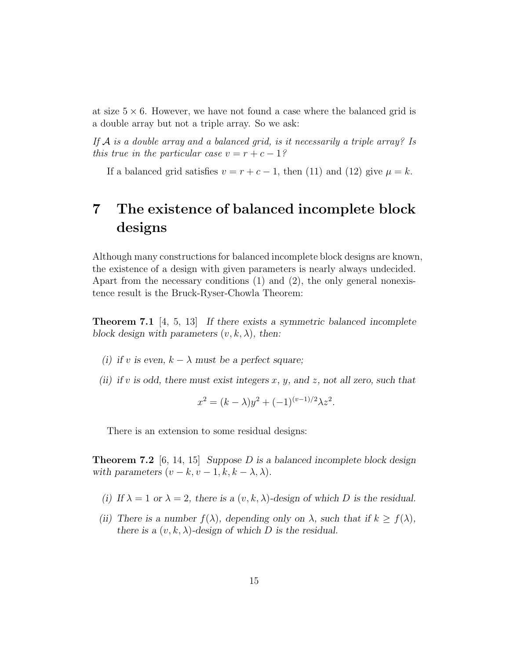at size  $5 \times 6$ . However, we have not found a case where the balanced grid is a double array but not a triple array. So we ask:

*If A is a double array and a balanced grid, is it necessarily a triple array? Is this true in the particular case*  $v = r + c - 1$ ?

If a balanced grid satisfies  $v = r + c - 1$ , then (11) and (12) give  $\mu = k$ .

## **7 The existence of balanced incomplete block designs**

Although many constructions for balanced incomplete block designs are known, the existence of a design with given parameters is nearly always undecided. Apart from the necessary conditions (1) and (2), the only general nonexistence result is the Bruck-Ryser-Chowla Theorem:

**Theorem 7.1** [4, 5, 13] If there exists a symmetric balanced incomplete block design with parameters  $(v, k, \lambda)$ , then:

- (i) if *v* is even,  $k \lambda$  must be a perfect square;
- (ii) if *v* is odd, there must exist integers  $x, y$ , and  $z$ , not all zero, such that

$$
x^{2} = (k - \lambda)y^{2} + (-1)^{(v-1)/2}\lambda z^{2}.
$$

There is an extension to some residual designs:

**Theorem 7.2** [6, 14, 15] Suppose *D* is a balanced incomplete block design with parameters  $(v - k, v - 1, k, k - \lambda, \lambda)$ .

- (i) If  $\lambda = 1$  or  $\lambda = 2$ , there is a  $(v, k, \lambda)$ -design of which *D* is the residual.
- (ii) There is a number  $f(\lambda)$ , depending only on  $\lambda$ , such that if  $k \ge f(\lambda)$ , there is a  $(v, k, \lambda)$ -design of which *D* is the residual.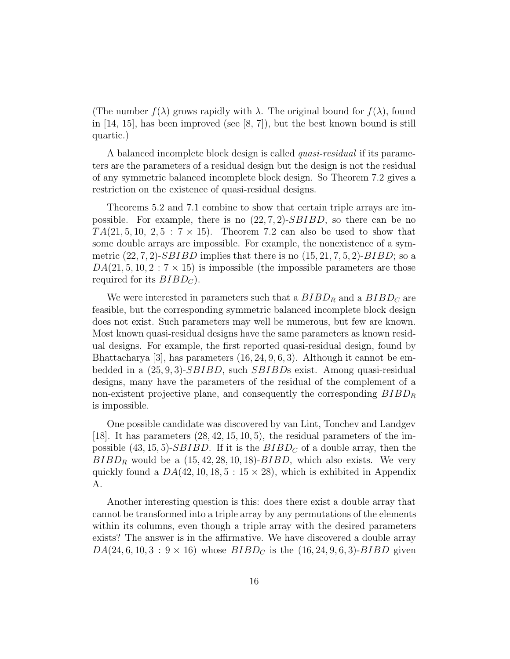(The number  $f(\lambda)$  grows rapidly with  $\lambda$ . The original bound for  $f(\lambda)$ , found in  $[14, 15]$ , has been improved (see  $[8, 7]$ ), but the best known bound is still quartic.)

A balanced incomplete block design is called *quasi-residual* if its parameters are the parameters of a residual design but the design is not the residual of any symmetric balanced incomplete block design. So Theorem 7.2 gives a restriction on the existence of quasi-residual designs.

Theorems 5.2 and 7.1 combine to show that certain triple arrays are impossible. For example, there is no (22*,* 7*,* 2)-*SBIBD*, so there can be no  $TA(21, 5, 10, 2, 5:7 \times 15)$ . Theorem 7.2 can also be used to show that some double arrays are impossible. For example, the nonexistence of a symmetric (22*,* 7*,* 2)-*SBIBD* implies that there is no (15*,* 21*,* 7*,* 5*,* 2)-*BIBD*; so a  $DA(21, 5, 10, 2:7 \times 15)$  is impossible (the impossible parameters are those required for its  $BIBD<sub>C</sub>$ .

We were interested in parameters such that a  $BIBD<sub>R</sub>$  and a  $BIBD<sub>C</sub>$  are feasible, but the corresponding symmetric balanced incomplete block design does not exist. Such parameters may well be numerous, but few are known. Most known quasi-residual designs have the same parameters as known residual designs. For example, the first reported quasi-residual design, found by Bhattacharya [3], has parameters (16*,* 24*,* 9*,* 6*,* 3). Although it cannot be embedded in a (25*,* 9*,* 3)-*SBIBD*, such *SBIBD*s exist. Among quasi-residual designs, many have the parameters of the residual of the complement of a non-existent projective plane, and consequently the corresponding  $BIBD<sub>R</sub>$ is impossible.

One possible candidate was discovered by van Lint, Tonchev and Landgev [18]. It has parameters (28*,* 42*,* 15*,* 10*,* 5), the residual parameters of the impossible  $(43, 15, 5)$ -*SBIBD*. If it is the  $BIBD<sub>C</sub>$  of a double array, then the  $BIBD_R$  would be a  $(15, 42, 28, 10, 18)$ - $BIBD$ , which also exists. We very quickly found a  $DA(42, 10, 18, 5 : 15 \times 28)$ , which is exhibited in Appendix A.

Another interesting question is this: does there exist a double array that cannot be transformed into a triple array by any permutations of the elements within its columns, even though a triple array with the desired parameters exists? The answer is in the affirmative. We have discovered a double array  $DA(24, 6, 10, 3:9 \times 16)$  whose  $BIBD<sub>C</sub>$  is the  $(16, 24, 9, 6, 3)$ - $BIBD$  given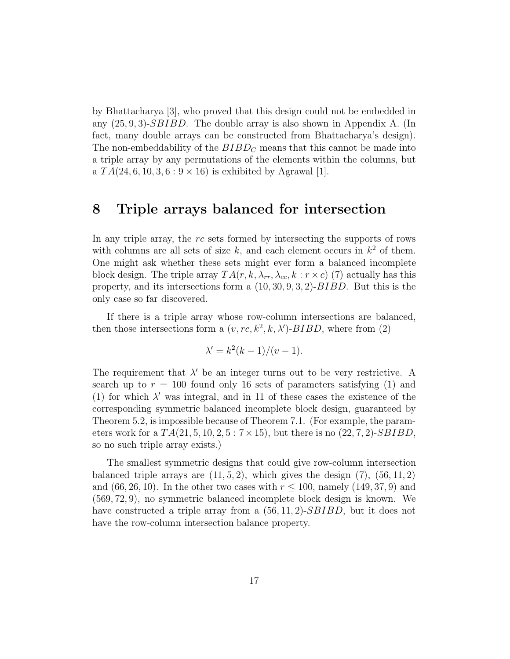by Bhattacharya [3], who proved that this design could not be embedded in any (25*,* 9*,* 3)-*SBIBD*. The double array is also shown in Appendix A. (In fact, many double arrays can be constructed from Bhattacharya's design). The non-embeddability of the  $BIBD<sub>C</sub>$  means that this cannot be made into a triple array by any permutations of the elements within the columns, but a  $TA(24, 6, 10, 3, 6:9 \times 16)$  is exhibited by Agrawal [1].

#### **8 Triple arrays balanced for intersection**

In any triple array, the *rc* sets formed by intersecting the supports of rows with columns are all sets of size  $k$ , and each element occurs in  $k^2$  of them. One might ask whether these sets might ever form a balanced incomplete block design. The triple array  $TA(r, k, \lambda_{rr}, \lambda_{cc}, k : r \times c)$  (7) actually has this property, and its intersections form a (10*,* 30*,* 9*,* 3*,* 2)-*BIBD*. But this is the only case so far discovered.

If there is a triple array whose row-column intersections are balanced, then those intersections form a  $(v, rc, k^2, k, \lambda')$ -*BIBD*, where from (2)

$$
\lambda' = k^2(k-1)/(v-1).
$$

The requirement that  $\lambda'$  be an integer turns out to be very restrictive. A search up to  $r = 100$  found only 16 sets of parameters satisfying (1) and (1) for which  $\lambda'$  was integral, and in 11 of these cases the existence of the corresponding symmetric balanced incomplete block design, guaranteed by Theorem 5.2, is impossible because of Theorem 7.1. (For example, the parameters work for a *T A*(21*,* 5*,* 10*,* 2*,* 5:7*×*15), but there is no (22*,* 7*,* 2)-*SBIBD*, so no such triple array exists.)

The smallest symmetric designs that could give row-column intersection balanced triple arrays are  $(11, 5, 2)$ , which gives the design  $(7)$ ,  $(56, 11, 2)$ and (66, 26, 10). In the other two cases with  $r \le 100$ , namely (149, 37, 9) and (569*,* 72*,* 9), no symmetric balanced incomplete block design is known. We have constructed a triple array from a (56*,* 11*,* 2)-*SBIBD*, but it does not have the row-column intersection balance property.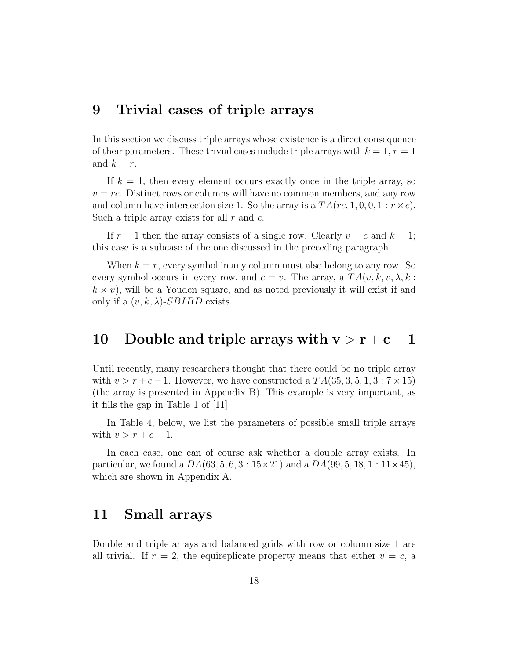#### **9 Trivial cases of triple arrays**

In this section we discuss triple arrays whose existence is a direct consequence of their parameters. These trivial cases include triple arrays with  $k = 1, r = 1$ and  $k = r$ .

If  $k = 1$ , then every element occurs exactly once in the triple array, so  $v = rc$ . Distinct rows or columns will have no common members, and any row and column have intersection size 1. So the array is a  $TA(re, 1, 0, 0, 1 : r \times c)$ . Such a triple array exists for all *r* and *c*.

If  $r = 1$  then the array consists of a single row. Clearly  $v = c$  and  $k = 1$ ; this case is a subcase of the one discussed in the preceding paragraph.

When  $k = r$ , every symbol in any column must also belong to any row. So every symbol occurs in every row, and  $c = v$ . The array, a  $TA(v, k, v, \lambda, k)$ :  $k \times v$ , will be a Youden square, and as noted previously it will exist if and only if a  $(v, k, \lambda)$ -*SBIBD* exists.

#### **10** Double and triple arrays with  $v > r + c - 1$

Until recently, many researchers thought that there could be no triple array with  $v > r + c - 1$ . However, we have constructed a  $TA(35, 3, 5, 1, 3:7 \times 15)$ (the array is presented in Appendix B). This example is very important, as it fills the gap in Table 1 of [11].

In Table 4, below, we list the parameters of possible small triple arrays with  $v > r + c - 1$ .

In each case, one can of course ask whether a double array exists. In particular, we found a *DA*(63*,* 5*,* 6*,* 3 : 15*×*21) and a *DA*(99*,* 5*,* 18*,* 1 : 11*×*45), which are shown in Appendix A.

#### **11 Small arrays**

Double and triple arrays and balanced grids with row or column size 1 are all trivial. If  $r = 2$ , the equireplicate property means that either  $v = c$ , a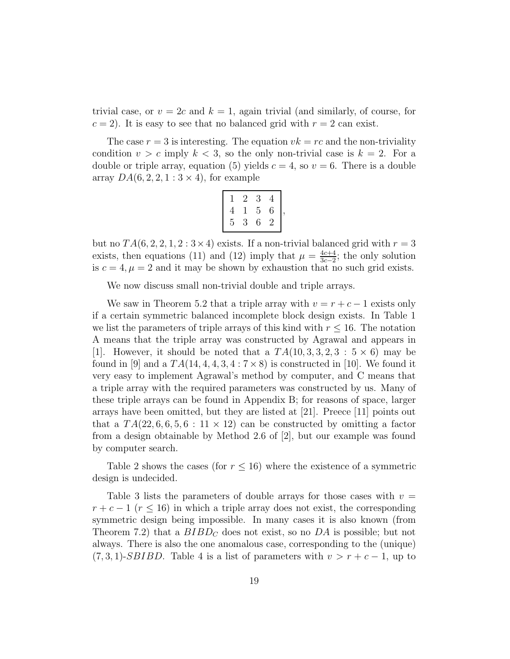trivial case, or  $v = 2c$  and  $k = 1$ , again trivial (and similarly, of course, for  $c = 2$ . It is easy to see that no balanced grid with  $r = 2$  can exist.

The case  $r = 3$  is interesting. The equation  $vk = rc$  and the non-triviality condition  $v > c$  imply  $k < 3$ , so the only non-trivial case is  $k = 2$ . For a double or triple array, equation (5) yields  $c = 4$ , so  $v = 6$ . There is a double array  $DA(6, 2, 2, 1:3 \times 4)$ , for example

|   | 2 | 3 | 4 |  |
|---|---|---|---|--|
| 4 |   | 5 | 6 |  |
| 5 | 3 | 6 | 2 |  |

but no  $TA(6, 2, 2, 1, 2:3 \times 4)$  exists. If a non-trivial balanced grid with  $r = 3$ exists, then equations (11) and (12) imply that  $\mu = \frac{4c+4}{3c-2}$ ; the only solution is  $c = 4, \mu = 2$  and it may be shown by exhaustion that no such grid exists.

We now discuss small non-trivial double and triple arrays.

We saw in Theorem 5.2 that a triple array with  $v = r + c - 1$  exists only if a certain symmetric balanced incomplete block design exists. In Table 1 we list the parameters of triple arrays of this kind with  $r \leq 16$ . The notation A means that the triple array was constructed by Agrawal and appears in [1]. However, it should be noted that a  $TA(10, 3, 3, 2, 3:5 \times 6)$  may be found in  $|9|$  and a  $TA(14, 4, 4, 3, 4:7 \times 8)$  is constructed in [10]. We found it very easy to implement Agrawal's method by computer, and C means that a triple array with the required parameters was constructed by us. Many of these triple arrays can be found in Appendix B; for reasons of space, larger arrays have been omitted, but they are listed at [21]. Preece [11] points out that a  $TA(22, 6, 6, 5, 6: 11 \times 12)$  can be constructed by omitting a factor from a design obtainable by Method 2.6 of [2], but our example was found by computer search.

Table 2 shows the cases (for  $r \leq 16$ ) where the existence of a symmetric design is undecided.

Table 3 lists the parameters of double arrays for those cases with  $v =$  $r + c - 1$  ( $r \le 16$ ) in which a triple array does not exist, the corresponding symmetric design being impossible. In many cases it is also known (from Theorem 7.2) that a  $BIBD<sub>C</sub>$  does not exist, so no  $DA$  is possible; but not always. There is also the one anomalous case, corresponding to the (unique)  $(7, 3, 1)$ -*SBIBD*. Table 4 is a list of parameters with  $v > r + c - 1$ , up to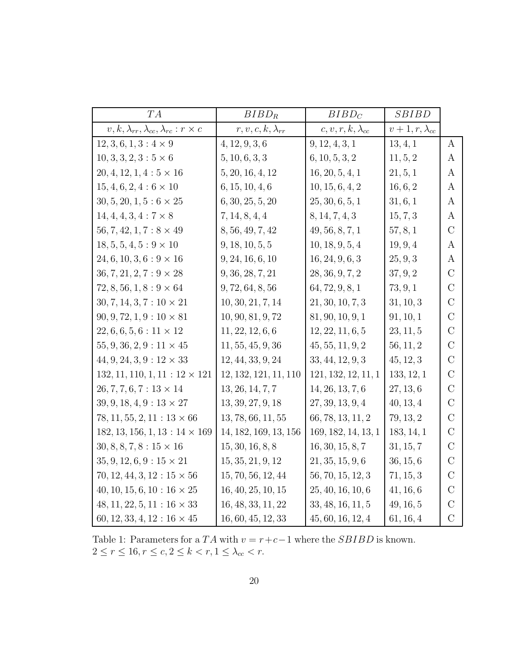| TA                                                           | $BIBD_R$                   | $BIBD_C$                   | SBIBD                  |                  |
|--------------------------------------------------------------|----------------------------|----------------------------|------------------------|------------------|
| $v, k, \lambda_{rr}, \lambda_{cc}, \lambda_{rc}: r \times c$ | $r, v, c, k, \lambda_{rr}$ | $c, v, r, k, \lambda_{cc}$ | $v+1, r, \lambda_{cc}$ |                  |
| $12, 3, 6, 1, 3: 4 \times 9$                                 | 4, 12, 9, 3, 6             | 9, 12, 4, 3, 1             | 13, 4, 1               | $\overline{A}$   |
| $10, 3, 3, 2, 3: 5 \times 6$                                 | 5, 10, 6, 3, 3             | 6, 10, 5, 3, 2             | 11, 5, 2               | $\boldsymbol{A}$ |
| $20, 4, 12, 1, 4: 5 \times 16$                               | 5, 20, 16, 4, 12           | 16, 20, 5, 4, 1            | 21, 5, 1               | A                |
| $15, 4, 6, 2, 4: 6 \times 10$                                | 6, 15, 10, 4, 6            | 10, 15, 6, 4, 2            | 16, 6, 2               | $\rm{A}$         |
| $30, 5, 20, 1, 5 : 6 \times 25$                              | 6, 30, 25, 5, 20           | 25, 30, 6, 5, 1            | 31, 6, 1               | A                |
| $14, 4, 4, 3, 4: 7 \times 8$                                 | 7, 14, 8, 4, 4             | 8, 14, 7, 4, 3             | 15, 7, 3               | $\rm{A}$         |
| $56, 7, 42, 1, 7 : 8 \times 49$                              | 8, 56, 49, 7, 42           | 49, 56, 8, 7, 1            | 57, 8, 1               | $\rm C$          |
| $18, 5, 5, 4, 5: 9 \times 10$                                | 9, 18, 10, 5, 5            | 10, 18, 9, 5, 4            | 19, 9, 4               | A                |
| $24, 6, 10, 3, 6: 9 \times 16$                               | 9, 24, 16, 6, 10           | 16, 24, 9, 6, 3            | 25, 9, 3               | A                |
| $36, 7, 21, 2, 7 : 9 \times 28$                              | 9, 36, 28, 7, 21           | 28, 36, 9, 7, 2            | 37, 9, 2               | $\mathcal{C}$    |
| $72, 8, 56, 1, 8: 9 \times 64$                               | 9, 72, 64, 8, 56           | 64, 72, 9, 8, 1            | 73, 9, 1               | $\mathcal{C}$    |
| $30, 7, 14, 3, 7: 10 \times 21$                              | 10, 30, 21, 7, 14          | 21, 30, 10, 7, 3           | 31, 10, 3              | $\rm C$          |
| $90, 9, 72, 1, 9: 10 \times 81$                              | 10, 90, 81, 9, 72          | 81, 90, 10, 9, 1           | 91, 10, 1              | $\rm C$          |
| $22, 6, 6, 5, 6: 11 \times 12$                               | 11, 22, 12, 6, 6           | 12, 22, 11, 6, 5           | 23, 11, 5              | $\overline{C}$   |
| $55, 9, 36, 2, 9: 11 \times 45$                              | 11, 55, 45, 9, 36          | 45, 55, 11, 9, 2           | 56, 11, 2              | $\mathcal{C}$    |
| $44, 9, 24, 3, 9: 12 \times 33$                              | 12, 44, 33, 9, 24          | 33, 44, 12, 9, 3           | 45, 12, 3              | $\rm C$          |
| $132, 11, 110, 1, 11 : 12 \times 121$                        | 12, 132, 121, 11, 110      | 121, 132, 12, 11, 1        | 133, 12, 1             | $\mathcal{C}$    |
| $26, 7, 7, 6, 7: 13 \times 14$                               | 13, 26, 14, 7, 7           | 14, 26, 13, 7, 6           | 27, 13, 6              | $\mathcal{C}$    |
| $39, 9, 18, 4, 9: 13 \times 27$                              | 13, 39, 27, 9, 18          | 27, 39, 13, 9, 4           | 40, 13, 4              | $\rm C$          |
| $78, 11, 55, 2, 11 : 13 \times 66$                           | 13, 78, 66, 11, 55         | 66, 78, 13, 11, 2          | 79, 13, 2              | $\mathcal{C}$    |
| $182, 13, 156, 1, 13: 14 \times 169$                         | 14, 182, 169, 13, 156      | 169, 182, 14, 13, 1        | 183, 14, 1             | $\mathcal{C}$    |
| $30, 8, 8, 7, 8: 15 \times 16$                               | 15, 30, 16, 8, 8           | 16, 30, 15, 8, 7           | 31, 15, 7              | $\mathcal{C}$    |
| $35, 9, 12, 6, 9: 15 \times 21$                              | 15, 35, 21, 9, 12          | 21, 35, 15, 9, 6           | 36, 15, 6              | $\rm C$          |
| $70, 12, 44, 3, 12 : 15 \times 56$                           | 15, 70, 56, 12, 44         | 56, 70, 15, 12, 3          | 71, 15, 3              | $\mathcal{C}$    |
| $40, 10, 15, 6, 10: 16 \times 25$                            | 16, 40, 25, 10, 15         | 25, 40, 16, 10, 6          | 41, 16, 6              | $\rm C$          |
| $48, 11, 22, 5, 11 : 16 \times 33$                           | 16, 48, 33, 11, 22         | 33, 48, 16, 11, 5          | 49, 16, 5              | $\mathcal{C}$    |
| $60, 12, 33, 4, 12 : 16 \times 45$                           | 16, 60, 45, 12, 33         | 45, 60, 16, 12, 4          | 61, 16, 4              | $\mathcal{C}$    |

Table 1: Parameters for a  $TA$  with  $v = r + c - 1$  where the  $SBIBD$  is known.  $2 \leq r \leq 16, r \leq c, 2 \leq k < r, 1 \leq \lambda_{cc} < r.$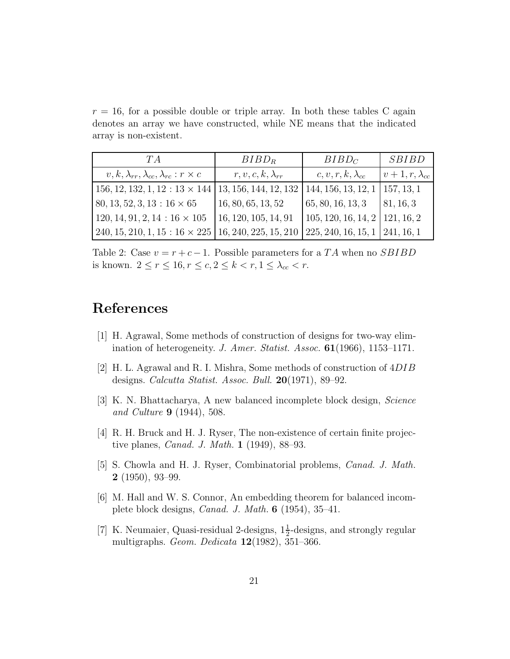$r = 16$ , for a possible double or triple array. In both these tables C again denotes an array we have constructed, while NE means that the indicated array is non-existent.

| TA                                                              | $BIBD_R$                   | $BIBD_C$                              | <i>SBIBD</i>           |
|-----------------------------------------------------------------|----------------------------|---------------------------------------|------------------------|
| $v, k, \lambda_{rr}, \lambda_{cc}, \lambda_{rc}: r \times c$    | $r, v, c, k, \lambda_{rr}$ | $c, v, r, k, \lambda_{cc}$            | $v+1, r, \lambda_{cc}$ |
| $156, 12, 132, 1, 12: 13 \times 144$                            | 13, 156, 144, 12, 132      | 144, 156, 13, 12, 1                   | 157, 13, 1             |
| $80, 13, 52, 3, 13 : 16 \times 65$                              | 16, 80, 65, 13, 52         | 65, 80, 16, 13, 3                     | 81, 16, 3              |
| $120, 14, 91, 2, 14: 16 \times 105$                             | 16, 120, 105, 14, 91       | $105, 120, 16, 14, 2 \mid 121, 16, 2$ |                        |
| $240, 15, 210, 1, 15: 16 \times 225 \mid 16, 240, 225, 15, 210$ |                            | $225, 240, 16, 15, 1 \mid 241, 16, 1$ |                        |

Table 2: Case  $v = r + c - 1$ . Possible parameters for a *TA* when no *SBIBD* is known.  $2 \le r \le 16, r \le c, 2 \le k < r, 1 \le \lambda_{cc} < r$ .

#### **References**

- [1] H. Agrawal, Some methods of construction of designs for two-way elimination of heterogeneity. *J. Amer. Statist. Assoc.* **61**(1966), 1153–1171.
- [2] H. L. Agrawal and R. I. Mishra, Some methods of construction of 4*DIB* designs. *Calcutta Statist. Assoc. Bull.* **20**(1971), 89–92.
- [3] K. N. Bhattacharya, A new balanced incomplete block design, *Science and Culture* **9** (1944), 508.
- [4] R. H. Bruck and H. J. Ryser, The non-existence of certain finite projective planes, *Canad. J. Math.* **1** (1949), 88–93.
- [5] S. Chowla and H. J. Ryser, Combinatorial problems, *Canad. J. Math.* **2** (1950), 93–99.
- [6] M. Hall and W. S. Connor, An embedding theorem for balanced incomplete block designs, *Canad. J. Math.* **6** (1954), 35–41.
- [7] K. Neumaier, Quasi-residual 2-designs,  $1\frac{1}{2}$ -designs, and strongly regular multigraphs. *Geom. Dedicata* **12**(1982), 351–366.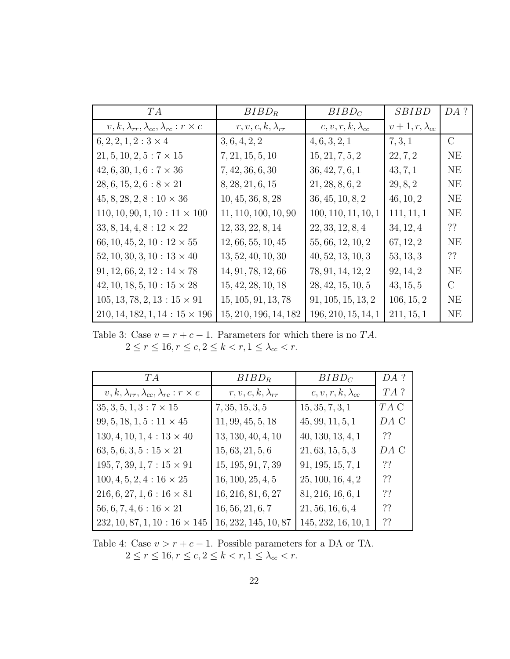| TA                                                           | $BIBD_R$                   | $BIBD_C$                   | <i>SBIBD</i>         | DA ?          |
|--------------------------------------------------------------|----------------------------|----------------------------|----------------------|---------------|
| $v, k, \lambda_{rr}, \lambda_{cc}, \lambda_{rc}: r \times c$ | $r, v, c, k, \lambda_{rr}$ | $c, v, r, k, \lambda_{cc}$ | $v+1,r,\lambda_{cc}$ |               |
| $6, 2, 2, 1, 2: 3 \times 4$                                  | 3, 6, 4, 2, 2              | 4, 6, 3, 2, 1              | 7, 3, 1              | $\rm C$       |
| $21, 5, 10, 2, 5: 7 \times 15$                               | 7, 21, 15, 5, 10           | 15, 21, 7, 5, 2            | 22, 7, 2             | NE            |
| $42, 6, 30, 1, 6: 7 \times 36$                               | 7, 42, 36, 6, 30           | 36, 42, 7, 6, 1            | 43, 7, 1             | NE            |
| $28, 6, 15, 2, 6: 8 \times 21$                               | 8, 28, 21, 6, 15           | 21, 28, 8, 6, 2            | 29, 8, 2             | NE            |
| $45, 8, 28, 2, 8: 10 \times 36$                              | 10, 45, 36, 8, 28          | 36, 45, 10, 8, 2           | 46, 10, 2            | <b>NE</b>     |
| $110, 10, 90, 1, 10: 11 \times 100$                          | 11, 110, 100, 10, 90       | 100, 110, 11, 10, 1        | 111, 11, 1           | NE            |
| $33, 8, 14, 4, 8: 12 \times 22$                              | 12, 33, 22, 8, 14          | 22, 33, 12, 8, 4           | 34, 12, 4            | ??            |
| 66, 10, 45, 2, 10 : $12 \times 55$                           | 12, 66, 55, 10, 45         | 55, 66, 12, 10, 2          | 67, 12, 2            | <b>NE</b>     |
| $52, 10, 30, 3, 10: 13 \times 40$                            | 13, 52, 40, 10, 30         | 40, 52, 13, 10, 3          | 53, 13, 3            | ??            |
| $91, 12, 66, 2, 12: 14 \times 78$                            | 14, 91, 78, 12, 66         | 78, 91, 14, 12, 2          | 92, 14, 2            | <b>NE</b>     |
| $42, 10, 18, 5, 10: 15 \times 28$                            | 15, 42, 28, 10, 18         | 28, 42, 15, 10, 5          | 43, 15, 5            | $\mathcal{C}$ |
| $105, 13, 78, 2, 13: 15 \times 91$                           | 15, 105, 91, 13, 78        | 91, 105, 15, 13, 2         | 106, 15, 2           | NE            |
| $210, 14, 182, 1, 14: 15 \times 196$                         | 15, 210, 196, 14, 182      | 196, 210, 15, 14, 1        | 211, 15, 1           | NE            |

Table 3: Case  $v = r + c - 1$ . Parameters for which there is no *TA*.  $2 \leq r \leq 16, r \leq c, 2 \leq k < r, 1 \leq \lambda_{cc} < r.$ 

| TA                                                           | $BIBD_R$                   | $BIBD_C$                   | DA?    |
|--------------------------------------------------------------|----------------------------|----------------------------|--------|
| $v, k, \lambda_{rr}, \lambda_{cc}, \lambda_{rc}: r \times c$ | $r, v, c, k, \lambda_{rr}$ | $c, v, r, k, \lambda_{cc}$ | $TA$ ? |
| $35, 3, 5, 1, 3: 7 \times 15$                                | 7, 35, 15, 3, 5            | 15, 35, 7, 3, 1            | $TA$ C |
| $99, 5, 18, 1, 5: 11 \times 45$                              | 11, 99, 45, 5, 18          | 45, 99, 11, 5, 1           | DA C   |
| $130, 4, 10, 1, 4: 13 \times 40$                             | 13, 130, 40, 4, 10         | 40, 130, 13, 4, 1          | ??     |
| $63, 5, 6, 3, 5: 15 \times 21$                               | 15, 63, 21, 5, 6           | 21, 63, 15, 5, 3           | DA C   |
| $195, 7, 39, 1, 7: 15 \times 91$                             | 15, 195, 91, 7, 39         | 91, 195, 15, 7, 1          | ??     |
| $100, 4, 5, 2, 4: 16 \times 25$                              | 16, 100, 25, 4, 5          | 25, 100, 16, 4, 2          | ??     |
| $216, 6, 27, 1, 6: 16 \times 81$                             | 16, 216, 81, 6, 27         | 81, 216, 16, 6, 1          | ??     |
| $56, 6, 7, 4, 6: 16 \times 21$                               | 16, 56, 21, 6, 7           | 21, 56, 16, 6, 4           | ??     |
| $232, 10, 87, 1, 10: 16 \times 145$                          | 16, 232, 145, 10, 87       | 145, 232, 16, 10, 1        | ??     |

Table 4: Case  $v > r + c - 1$ . Possible parameters for a DA or TA.  $2 \leq r \leq 16, r \leq c, 2 \leq k < r, 1 \leq \lambda_{cc} < r.$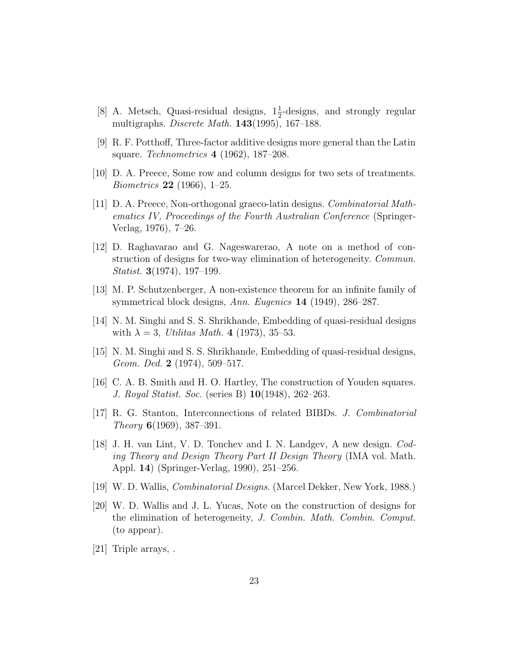- [8] A. Metsch, Quasi-residual designs,  $1\frac{1}{2}$ -designs, and strongly regular multigraphs. *Discrete Math.* **143**(1995), 167–188.
- [9] R. F. Potthoff, Three-factor additive designs more general than the Latin square. *Technometrics* **4** (1962), 187–208.
- [10] D. A. Preece, Some row and column designs for two sets of treatments. *Biometrics* **22** (1966), 1–25.
- [11] D. A. Preece, Non-orthogonal graeco-latin designs. *Combinatorial Mathematics IV, Proceedings of the Fourth Australian Conference* (Springer-Verlag, 1976), 7–26.
- [12] D. Raghavarao and G. Nageswarerao, A note on a method of construction of designs for two-way elimination of heterogeneity. *Commun. Statist.* **3**(1974), 197–199.
- [13] M. P. Schutzenberger, A non-existence theorem for an infinite family of symmetrical block designs, *Ann. Eugenics* **14** (1949), 286–287.
- [14] N. M. Singhi and S. S. Shrikhande, Embedding of quasi-residual designs with  $\lambda = 3$ , *Utilitas Math.* **4** (1973), 35–53.
- [15] N. M. Singhi and S. S. Shrikhande, Embedding of quasi-residual designs, *Geom. Ded.* **2** (1974), 509–517.
- [16] C. A. B. Smith and H. O. Hartley, The construction of Youden squares. *J. Royal Statist. Soc.* (series B) **10**(1948), 262–263.
- [17] R. G. Stanton, Interconnections of related BIBDs. *J. Combinatorial Theory* **6**(1969), 387–391.
- [18] J. H. van Lint, V. D. Tonchev and I. N. Landgev, A new design. *Coding Theory and Design Theory Part II Design Theory* (IMA vol. Math. Appl. **14**) (Springer-Verlag, 1990), 251–256.
- [19] W. D. Wallis, *Combinatorial Designs*. (Marcel Dekker, New York, 1988.)
- [20] W. D. Wallis and J. L. Yucas, Note on the construction of designs for the elimination of heterogeneity, *J. Combin. Math. Combin. Comput.* (to appear).
- [21] Triple arrays, .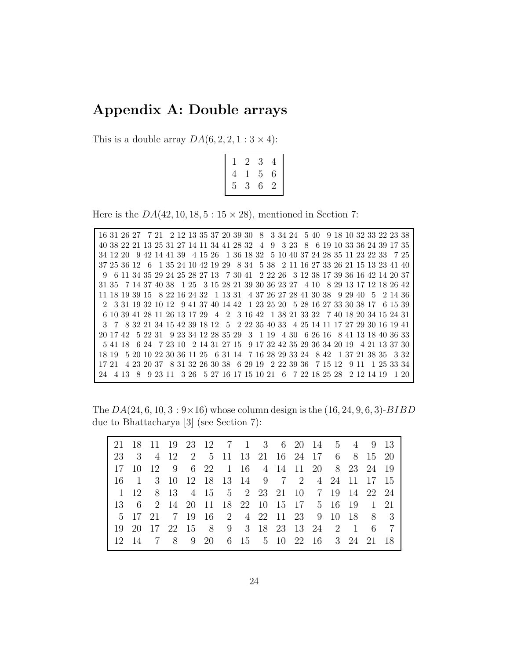#### **Appendix A: Double arrays**

This is a double array  $DA(6, 2, 2, 1:3 \times 4)$ :

|   | 2 | 3 | 4 |
|---|---|---|---|
| 4 |   | 5 | 6 |
| 5 | 3 | 6 | 2 |

Here is the  $DA(42, 10, 18, 5: 15 \times 28)$ , mentioned in Section 7:

16 31 26 27 7 21 2 12 13 35 37 20 39 30 8 3 34 24 5 40 9 18 10 32 33 22 23 38 40 38 22 21 13 25 31 27 14 11 34 41 28 32 4 9 3 23 8 6 19 10 33 36 24 39 17 35 34 12 20 9 42 14 41 39 4 15 26 1 36 18 32 5 10 40 37 24 28 35 11 23 22 33 7 25 37 25 36 12 6 1 35 24 10 42 19 29 8 34 5 38 2 11 16 27 33 26 21 15 13 23 41 40 9 6 11 34 35 29 24 25 28 27 13 7 30 41 2 22 26 3 12 38 17 39 36 16 42 14 20 37 31 35 7 14 37 40 38 1 25 3 15 28 21 39 30 36 23 27 4 10 8 29 13 17 12 18 26 42 11 18 19 39 15 8 22 16 24 32 1 13 31 4 37 26 27 28 41 30 38 9 29 40 5 2 14 36 2 3 31 19 32 10 12 9 41 37 40 14 42 1 23 25 20 5 28 16 27 33 30 38 17 6 15 39 6 10 39 41 28 11 26 13 17 29 4 2 3 16 42 1 38 21 33 32 7 40 18 20 34 15 24 31 3 7 8 32 21 34 15 42 39 18 12 5 2 22 35 40 33 4 25 14 11 17 27 29 30 16 19 41 20 17 42 5 22 31 9 23 34 12 28 35 29 3 1 19 4 30 6 26 16 8 41 13 18 40 36 33 5 41 18 6 24 7 23 10 2 14 31 27 15 9 17 32 42 35 29 36 34 20 19 4 21 13 37 30 18 19 5 20 10 22 30 36 11 25 6 31 14 7 16 28 29 33 24 8 42 1 37 21 38 35 3 32 17 21 4 23 20 37 8 31 32 26 30 38 6 29 19 2 22 39 36 7 15 12 9 11 1 25 33 34 24 4 13 8 9 23 11 3 26 5 27 16 17 15 10 21 6 7 22 18 25 28 2 12 14 19 1 20

The *DA*(24*,* 6*,* 10*,* 3:9*×*16) whose column design is the (16*,* 24*,* 9*,* 6*,* 3)-*BIBD* due to Bhattacharya [3] (see Section 7):

|                                                                              |  |  | 21 18 11 19 23 12 7 1 3 6 20 14 5 4 9 13 |  |  |  |  |  |
|------------------------------------------------------------------------------|--|--|------------------------------------------|--|--|--|--|--|
| 23 3 4 12 2 5 11 13 21 16 24 17 6 8 15 20                                    |  |  |                                          |  |  |  |  |  |
| 17 10 12 9 6 22 1 16 4 14 11 20 8 23 24 19                                   |  |  |                                          |  |  |  |  |  |
| 16 1 3 10 12 18 13 14 9 7 2 4 24 11 17 15                                    |  |  |                                          |  |  |  |  |  |
| $1 \t1 \t2 \t8 \t13 \t4 \t15 \t5 \t2 \t23 \t21 \t10 \t7 \t19 \t14 \t22 \t24$ |  |  |                                          |  |  |  |  |  |
| 13 6 2 14 20 11 18 22 10 15 17 5 16 19 1 21                                  |  |  |                                          |  |  |  |  |  |
| 5 17 21 7 19 16 2 4 22 11 23 9 10 18 8 3                                     |  |  |                                          |  |  |  |  |  |
| 19 20 17 22 15 8 9 3 18 23 13 24 2 1 6 7                                     |  |  |                                          |  |  |  |  |  |
| 12 14 7 8 9 20 6 15 5 10 22 16 3 24 21 18                                    |  |  |                                          |  |  |  |  |  |
|                                                                              |  |  |                                          |  |  |  |  |  |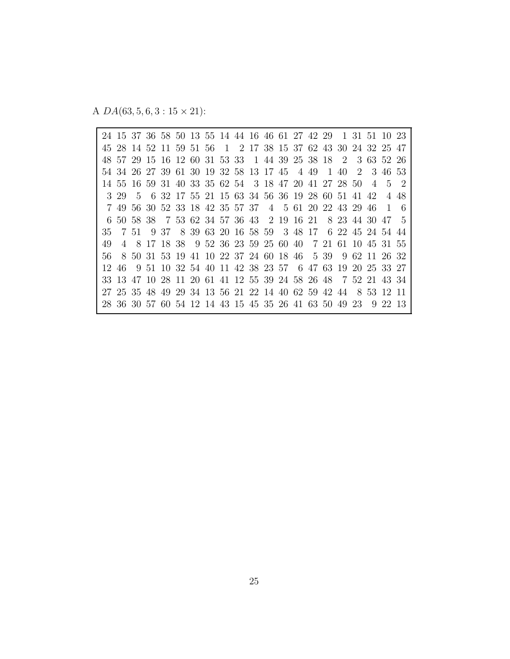A *DA*(63*,* 5*,* 6*,* 3 : 15 *×* 21):

24 15 37 36 58 50 13 55 14 44 16 46 61 27 42 29 1 31 51 10 23 45 28 14 52 11 59 51 56 1 2 17 38 15 37 62 43 30 24 32 25 47 48 57 29 15 16 12 60 31 53 33 1 44 39 25 38 18 2 3 63 52 26 54 34 26 27 39 61 30 19 32 58 13 17 45 4 49 1 40 2 3 46 53 14 55 16 59 31 40 33 35 62 54 3 18 47 20 41 27 28 50 4 5 2 3 29 5 6 32 17 55 21 15 63 34 56 36 19 28 60 51 41 42 4 48 7 49 56 30 52 33 18 42 35 57 37 4 5 61 20 22 43 29 46 1 6 6 50 58 38 7 53 62 34 57 36 43 2 19 16 21 8 23 44 30 47 5 35 7 51 9 37 8 39 63 20 16 58 59 3 48 17 6 22 45 24 54 44 49 4 8 17 18 38 9 52 36 23 59 25 60 40 7 21 61 10 45 31 55 56 8 50 31 53 19 41 10 22 37 24 60 18 46 5 39 9 62 11 26 32 12 46 9 51 10 32 54 40 11 42 38 23 57 6 47 63 19 20 25 33 27 33 13 47 10 28 11 20 61 41 12 55 39 24 58 26 48 7 52 21 43 34 27 25 35 48 49 29 34 13 56 21 22 14 40 62 59 42 44 8 53 12 11 28 36 30 57 60 54 12 14 43 15 45 35 26 41 63 50 49 23 9 22 13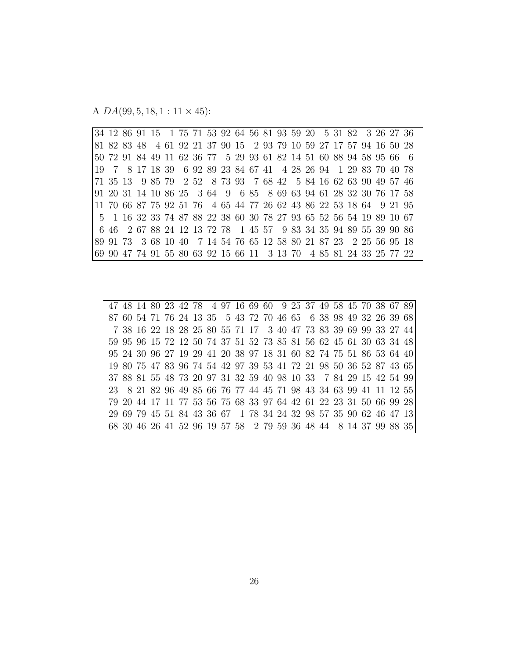A *DA*(99*,* 5*,* 18*,* 1 : 11 *×* 45):

34 12 86 91 15 1 75 71 53 92 64 56 81 93 59 20 5 31 82 3 26 27 36 81 82 83 48 4 61 92 21 37 90 15 2 93 79 10 59 27 17 57 94 16 50 28 50 72 91 84 49 11 62 36 77 5 29 93 61 82 14 51 60 88 94 58 95 66 6 19 7 8 17 18 39 6 92 89 23 84 67 41 4 28 26 94 1 29 83 70 40 78 71 35 13 9 85 79 2 52 8 73 93 7 68 42 5 84 16 62 63 90 49 57 46 91 20 31 14 10 86 25 3 64 9 6 85 8 69 63 94 61 28 32 30 76 17 58 11 70 66 87 75 92 51 76 4 65 44 77 26 62 43 86 22 53 18 64 9 21 95 5 1 16 32 33 74 87 88 22 38 60 30 78 27 93 65 52 56 54 19 89 10 67 6 46 2 67 88 24 12 13 72 78 1 45 57 9 83 34 35 94 89 55 39 90 86 89 91 73 3 68 10 40 7 14 54 76 65 12 58 80 21 87 23 2 25 56 95 18 69 90 47 74 91 55 80 63 92 15 66 11 3 13 70 4 85 81 24 33 25 77 22

47 48 14 80 23 42 78 4 97 16 69 60 9 25 37 49 58 45 70 38 67 89 87 60 54 71 76 24 13 35 5 43 72 70 46 65 6 38 98 49 32 26 39 68 7 38 16 22 18 28 25 80 55 71 17 3 40 47 73 83 39 69 99 33 27 44 59 95 96 15 72 12 50 74 37 51 52 73 85 81 56 62 45 61 30 63 34 48 95 24 30 96 27 19 29 41 20 38 97 18 31 60 82 74 75 51 86 53 64 40 19 80 75 47 83 96 74 54 42 97 39 53 41 72 21 98 50 36 52 87 43 65 37 88 81 55 48 73 20 97 31 32 59 40 98 10 33 7 84 29 15 42 54 99 23 8 21 82 96 49 85 66 76 77 44 45 71 98 43 34 63 99 41 11 12 55 79 20 44 17 11 77 53 56 75 68 33 97 64 42 61 22 23 31 50 66 99 28 29 69 79 45 51 84 43 36 67 1 78 34 24 32 98 57 35 90 62 46 47 13 68 30 46 26 41 52 96 19 57 58 2 79 59 36 48 44 8 14 37 99 88 35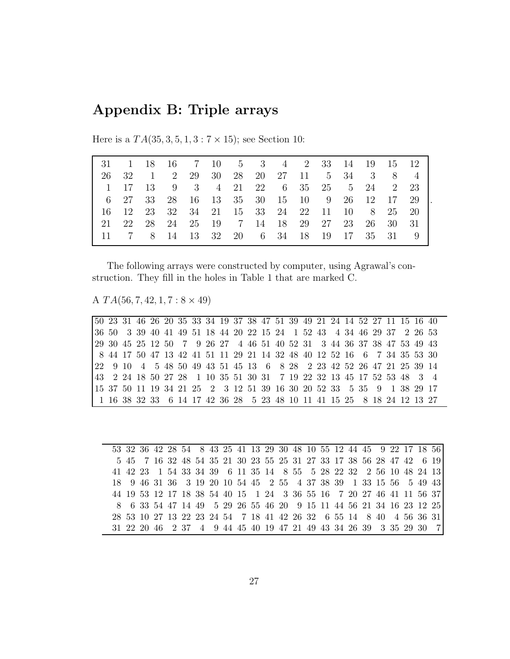### **Appendix B: Triple arrays**

|                                                                   |      |      |        |    |  |                                       |  |    |       | 31 1 18 16 7 10 5 3 4 2 33 14 19 15 12 |
|-------------------------------------------------------------------|------|------|--------|----|--|---------------------------------------|--|----|-------|----------------------------------------|
| 26                                                                | 32   |      | 1 2 29 | 30 |  | 28 20 27 11 5 34 3 8 4                |  |    |       |                                        |
| $\begin{array}{cc} \begin{array}{cc} \end{array} & 1 \end{array}$ |      |      |        |    |  |                                       |  |    |       | 17 13 9 3 4 21 22 6 35 25 5 24 2 23    |
|                                                                   | 6 27 | - 33 |        |    |  | 28 16 13 35 30 15 10 9 26 12 17 29    |  |    |       |                                        |
| 16 12                                                             |      |      |        |    |  | 23 32 34 21 15 33 24 22 11 10 8 25 20 |  |    |       |                                        |
| -21                                                               | 22   |      |        |    |  | 28 24 25 19 7 14 18 29 27 23          |  | 26 | 30 31 |                                        |
| - 11 -                                                            | 7 8  |      | 14     |    |  | 13 32 20 6 34 18 19 17 35 31 9        |  |    |       |                                        |

Here is a  $TA(35, 3, 5, 1, 3:7 \times 15)$ ; see Section 10:

The following arrays were constructed by computer, using Agrawal's construction. They fill in the holes in Table 1 that are marked C.

A *T A*(56*,* 7*,* 42*,* 1*,* 7:8 *×* 49)

50 23 31 46 26 20 35 33 34 19 37 38 47 51 39 49 21 24 14 52 27 11 15 16 40 36 50 3 39 40 41 49 51 18 44 20 22 15 24 1 52 43 4 34 46 29 37 2 26 53 29 30 45 25 12 50 7 9 26 27 4 46 51 40 52 31 3 44 36 37 38 47 53 49 43 8 44 17 50 47 13 42 41 51 11 29 21 14 32 48 40 12 52 16 6 7 34 35 53 30 22 9 10 4 5 48 50 49 43 51 45 13 6 8 28 2 23 42 52 26 47 21 25 39 14 43 2 24 18 50 27 28 1 10 35 51 30 31 7 19 22 32 13 45 17 52 53 48 3 4 15 37 50 11 19 34 21 25 2 3 12 51 39 16 30 20 52 33 5 35 9 1 38 29 17 1 16 38 32 33 6 14 17 42 36 28 5 23 48 10 11 41 15 25 8 18 24 12 13 27

|  |  |  |  |  | 53 32 36 42 28 54 8 43 25 41 13 29 30 48 10 55 12 44 45 9 22 17 18 56 |  |  |  |  |                                                                      |  |
|--|--|--|--|--|-----------------------------------------------------------------------|--|--|--|--|----------------------------------------------------------------------|--|
|  |  |  |  |  | 5 45 7 16 32 48 54 35 21 30 23 55 25 31 27 33 17 38 56 28 47 42 6 19  |  |  |  |  |                                                                      |  |
|  |  |  |  |  | 41 42 23 1 54 33 34 39 6 11 35 14 8 55 5 28 22 32 2 56 10 48 24 13    |  |  |  |  |                                                                      |  |
|  |  |  |  |  | 18 9 46 31 36 3 19 20 10 54 45 2 55 4 37 38 39 1 33 15 56 5 49 43     |  |  |  |  |                                                                      |  |
|  |  |  |  |  |                                                                       |  |  |  |  |                                                                      |  |
|  |  |  |  |  |                                                                       |  |  |  |  | 44 19 53 12 17 18 38 54 40 15 1 24 3 36 55 16 7 20 27 46 41 11 56 37 |  |
|  |  |  |  |  | 8 6 33 54 47 14 49 5 29 26 55 46 20 9 15 11 44 56 21 34 16 23 12 25   |  |  |  |  |                                                                      |  |
|  |  |  |  |  | 28 53 10 27 13 22 23 24 54 7 18 41 42 26 32 6 55 14 8 40 4 56 36 31   |  |  |  |  |                                                                      |  |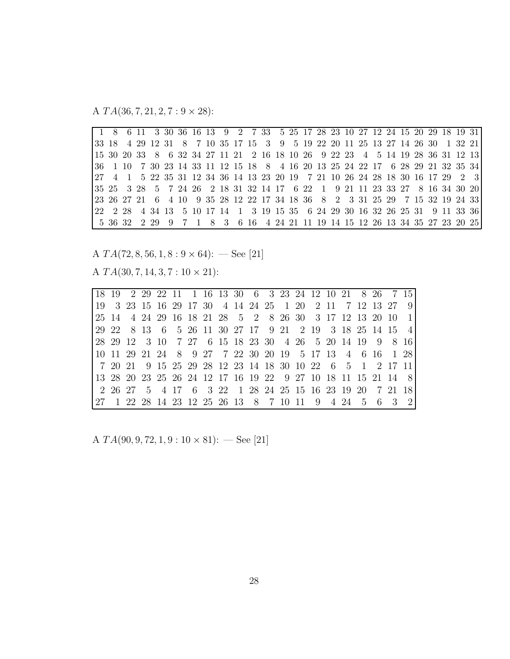A *T A*(36*,* 7*,* 21*,* 2*,* 7:9 *×* 28):

|                                                                               |  |  |  |  |  |  |  |  |  |  |  |  | 33 18 4 29 12 31 8 7 10 35 17 15 3 9 5 19 22 20 11 25 13 27 14 26 30 1 32 21   |
|-------------------------------------------------------------------------------|--|--|--|--|--|--|--|--|--|--|--|--|--------------------------------------------------------------------------------|
| 15 30 20 33 8 6 32 34 27 11 21 2 16 18 10 26 9 22 23 4 5 14 19 28 36 31 12 13 |  |  |  |  |  |  |  |  |  |  |  |  |                                                                                |
|                                                                               |  |  |  |  |  |  |  |  |  |  |  |  | 36 1 10 7 30 23 14 33 11 12 15 18 8 4 16 20 13 25 24 22 17 6 28 29 21 32 35 34 |
|                                                                               |  |  |  |  |  |  |  |  |  |  |  |  | 27 4 1 5 22 35 31 12 34 36 14 13 23 20 19 7 21 10 26 24 28 18 30 16 17 29 2 3  |
|                                                                               |  |  |  |  |  |  |  |  |  |  |  |  | 35 25 3 28 5 7 24 26 2 18 31 32 14 17 6 22 1 9 21 11 23 33 27 8 16 34 30 20    |
|                                                                               |  |  |  |  |  |  |  |  |  |  |  |  | 23 26 27 21 6 4 10 9 35 28 12 22 17 34 18 36 8 2 3 31 25 29 7 15 32 19 24 33   |
|                                                                               |  |  |  |  |  |  |  |  |  |  |  |  | 22 2 28 4 34 13 5 10 17 14 1 3 19 15 35 6 24 29 30 16 32 26 25 31 9 11 33 36   |
|                                                                               |  |  |  |  |  |  |  |  |  |  |  |  | 5 36 32 2 29 9 7 1 8 3 6 16 4 24 21 11 19 14 15 12 26 13 34 35 27 23 20 25     |

A  $TA(72,8,56,1,8:9\times64):$  — See [21]

A *T A*(30*,* 7*,* 14*,* 3*,* 7 : 10 *×* 21):

|                                                       |  |  |  |                                                        |  |  |  |  |  | 18 19 2 29 22 11 1 16 13 30 6 3 23 24 12 10 21 8 26 7 15     |  |
|-------------------------------------------------------|--|--|--|--------------------------------------------------------|--|--|--|--|--|--------------------------------------------------------------|--|
|                                                       |  |  |  | 19 3 23 15 16 29 17 30 4 14 24 25 1 20 2 11 7 12 13 27 |  |  |  |  |  |                                                              |  |
|                                                       |  |  |  |                                                        |  |  |  |  |  | 25 14 4 24 29 16 18 21 28 5 2 8 26 30 3 17 12 13 20 10 1     |  |
|                                                       |  |  |  |                                                        |  |  |  |  |  | 29 22 8 13 6 5 26 11 30 27 17 9 21 2 19 3 18 25 14 15 4      |  |
|                                                       |  |  |  |                                                        |  |  |  |  |  | 28 29 12 3 10 7 27 6 15 18 23 30 4 26 5 20 14 19 9 8 16      |  |
|                                                       |  |  |  |                                                        |  |  |  |  |  | 10 11 29 21 24 8 9 27 7 22 30 20 19 5 17 13 4 6 16 1 28      |  |
|                                                       |  |  |  |                                                        |  |  |  |  |  | 7 20 21 9 15 25 29 28 12 23 14 18 30 10 22 6 5 1 2 17 11     |  |
|                                                       |  |  |  |                                                        |  |  |  |  |  | 13 28 20 23 25 26 24 12 17 16 19 22 9 27 10 18 11 15 21 14 8 |  |
|                                                       |  |  |  |                                                        |  |  |  |  |  | 2 26 27 5 4 17 6 3 22 1 28 24 25 15 16 23 19 20 7 21 18      |  |
| 27 1 22 28 14 23 12 25 26 13 8 7 10 11 9 4 24 5 6 3 2 |  |  |  |                                                        |  |  |  |  |  |                                                              |  |

A *T A*(90*,* 9*,* 72*,* 1*,* 9 : 10 *×* 81): — See [21]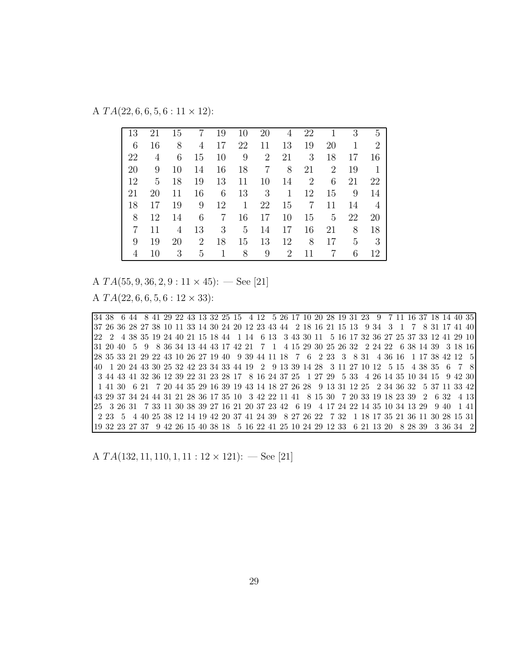A *T A*(22*,* 6*,* 6*,* 5*,* 6 : 11 *×* 12):

| 13 | 21 | 15 | 7              | 19 | 10           | 20             | 4  | 22             |                | 3  | $\overline{5}$ |
|----|----|----|----------------|----|--------------|----------------|----|----------------|----------------|----|----------------|
| 6  | 16 | 8  | 4              | 17 | 22           | 11             | 13 | 19             | 20             | 1  | $\overline{2}$ |
| 22 | 4  | 6  | 15             | 10 | 9            | $\overline{2}$ | 21 | 3              | 18             | 17 | 16             |
| 20 | 9  | 10 | 14             | 16 | 18           | $\overline{7}$ | 8  | 21             | $\overline{2}$ | 19 | 1              |
| 12 | 5  | 18 | 19             | 13 | 11           | 10             | 14 | $\overline{2}$ | 6              | 21 | 22             |
| 21 | 20 | 11 | 16             | 6  | 13           | 3              | 1  | 12             | 15             | 9  | 14             |
| 18 | 17 | 19 | 9              | 12 | $\mathbf{1}$ | 22             | 15 | $\overline{7}$ | 11             | 14 | $\overline{4}$ |
| 8  | 12 | 14 | 6              | 7  | 16           | 17             | 10 | 15             | 5              | 22 | 20             |
| 7  | 11 | 4  | 13             | 3  | 5            | 14             | 17 | 16             | 21             | 8  | 18             |
| 9  | 19 | 20 | $\overline{2}$ | 18 | 15           | 13             | 12 | 8              | 17             | 5  | 3              |
| 4  | 10 | 3  | 5              |    | 8            | 9              | 2  | 11             | 7              | 6  | 12             |

A *T A*(55*,* 9*,* 36*,* 2*,* 9 : 11 *×* 45): — See [21] A *T A*(22*,* 6*,* 6*,* 5*,* 6 : 12 *×* 33):

34 38 6 44 8 41 29 22 43 13 32 25 15 4 12 5 26 17 10 20 28 19 31 23 9 7 11 16 37 18 14 40 35 37 26 36 28 27 38 10 11 33 14 30 24 20 12 23 43 44 2 18 16 21 15 13 9 34 3 1 7 8 31 17 41 40 22 2 4 38 35 19 24 40 21 15 18 44 1 14 6 13 3 43 30 11 5 16 17 32 36 27 25 37 33 12 41 29 10 31 20 40 5 9 8 36 34 13 44 43 17 42 21 7 1 4 15 29 30 25 26 32 2 24 22 6 38 14 39 3 18 16 28 35 33 21 29 22 43 10 26 27 19 40 9 39 44 11 18 7 6 2 23 3 8 31 4 36 16 1 17 38 42 12 5 40 1 20 24 43 30 25 32 42 23 34 33 44 19 2 9 13 39 14 28 3 11 27 10 12 5 15 4 38 35 6 7 8 3 44 43 41 32 36 12 39 22 31 23 28 17 8 16 24 37 25 1 27 29 5 33 4 26 14 35 10 34 15 9 42 30 1 41 30 6 21 7 20 44 35 29 16 39 19 43 14 18 27 26 28 9 13 31 12 25 2 34 36 32 5 37 11 33 42 43 29 37 34 24 44 31 21 28 36 17 35 10 3 42 22 11 41 8 15 30 7 20 33 19 18 23 39 2 6 32 4 13 25 3 26 31 7 33 11 30 38 39 27 16 21 20 37 23 42 6 19 4 17 24 22 14 35 10 34 13 29 9 40 1 41 2 23 5 4 40 25 38 12 14 19 42 20 37 41 24 39 8 27 26 22 7 32 1 18 17 35 21 36 11 30 28 15 31 19 32 23 27 37 9 42 26 15 40 38 18 5 16 22 41 25 10 24 29 12 33 6 21 13 20 8 28 39 3 36 34 2

A *T A*(132*,* 11*,* 110*,* 1*,* 11 : 12 *×* 121): — See [21]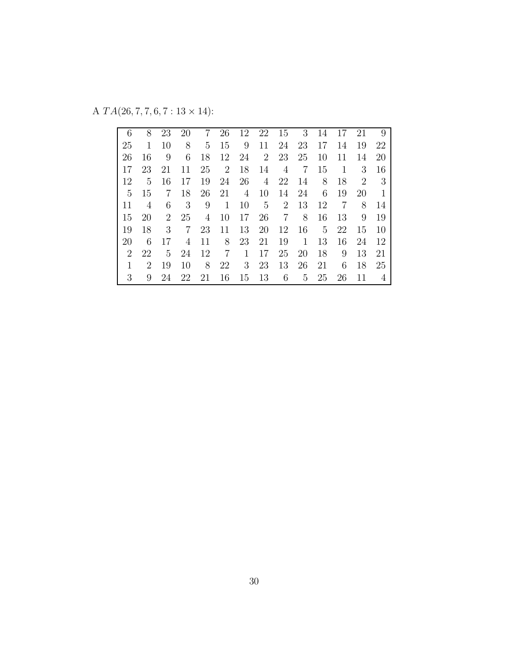A  $TA(26, 7, 7, 6, 7: 13 \times 14)$ :

| 6              | 8  | 23             | 20 | 7  | 26             | 12 | 22 | 15 | 3  | 14 | 17 | 21             | 9  |
|----------------|----|----------------|----|----|----------------|----|----|----|----|----|----|----------------|----|
| 25             | 1  | 10             | 8  | 5  | 15             | 9  | 11 | 24 | 23 | 17 | 14 | 19             | 22 |
| 26             | 16 | 9              | 6  | 18 | 12             | 24 | 2  | 23 | 25 | 10 | 11 | 14             | 20 |
| 17             | 23 | 21             | 11 | 25 | $\overline{2}$ | 18 | 14 | 4  | 7  | 15 | 1  | 3              | 16 |
| 12             | 5  | 16             | 17 | 19 | 24             | 26 | 4  | 22 | 14 | 8  | 18 | $\overline{2}$ | -3 |
| $5^{\circ}$    | 15 | 7              | 18 | 26 | 21             | 4  | 10 | 14 | 24 | 6  | 19 | 20             | 1  |
| 11             | 4  | 6              | 3  | 9  | 1              | 10 | 5  | 2  | 13 | 12 | 7  | 8              | 14 |
| 15             | 20 | $\overline{2}$ | 25 | 4  | 10             | 17 | 26 | 7  | 8  | 16 | 13 | 9              | 19 |
| 19             | 18 | 3              | 7  | 23 | 11             | 13 | 20 | 12 | 16 | 5  | 22 | 15             | 10 |
| 20             | 6  | 17             | 4  | 11 | 8              | 23 | 21 | 19 | 1  | 13 | 16 | 24             | 12 |
| $\overline{2}$ | 22 | 5              | 24 | 12 | 7              | 1  | 17 | 25 | 20 | 18 | 9  | 13             | 21 |
| 1              | 2  | 19             | 10 | 8  | 22             | 3  | 23 | 13 | 26 | 21 | 6  | 18             | 25 |
| 3              | 9  | 24             | 22 | 21 | 16             | 15 | 13 | 6  | 5  | 25 | 26 | 11             | 4  |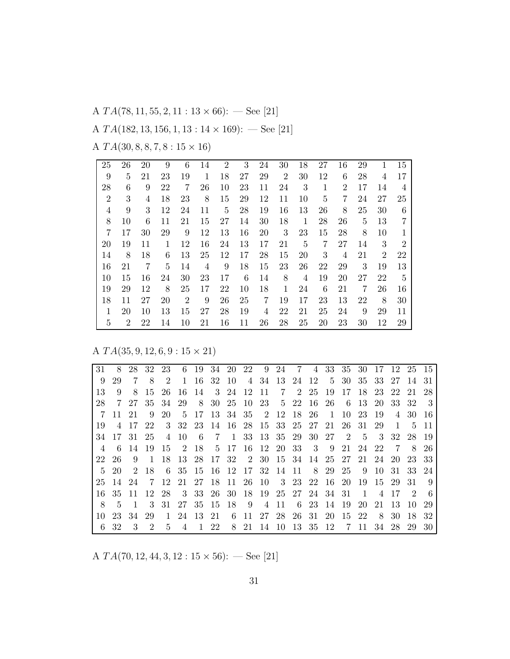A *T A*(78*,* 11*,* 55*,* 2*,* 11 : 13 *×* 66): — See [21] A *T A*(182*,* 13*,* 156*,* 1*,* 13 : 14 *×* 169): — See [21] A *T A*(30*,* 8*,* 8*,* 7*,* 8 : 15 *×* 16)

| 25             | 26             | 20 | 9  | 6              | 14 | $\overline{2}$ | 3  | 24 | 30 | 18 | 27 | 16             | 29 |                | 15             |
|----------------|----------------|----|----|----------------|----|----------------|----|----|----|----|----|----------------|----|----------------|----------------|
| 9              | 5              | 21 | 23 | 19             | 1  | 18             | 27 | 29 | 2  | 30 | 12 | 6              | 28 | 4              | 17             |
| 28             | 6              | 9  | 22 | 7              | 26 | 10             | 23 | 11 | 24 | 3  | 1  | $\overline{2}$ | 17 | 14             | 4              |
| $\overline{2}$ | 3              | 4  | 18 | 23             | 8  | 15             | 29 | 12 | 11 | 10 | 5  | 7              | 24 | 27             | 25             |
| 4              | 9              | 3  | 12 | 24             | 11 | 5              | 28 | 19 | 16 | 13 | 26 | 8              | 25 | 30             | 6              |
| 8              | 10             | 6  | 11 | 21             | 15 | 27             | 14 | 30 | 18 | 1  | 28 | 26             | 5  | 13             | 7              |
| 7              | 17             | 30 | 29 | 9              | 12 | 13             | 16 | 20 | 3  | 23 | 15 | 28             | 8  | 10             |                |
| 20             | 19             | 11 | 1  | 12             | 16 | 24             | 13 | 17 | 21 | 5  | 7  | 27             | 14 | 3              | $\overline{2}$ |
| 14             | 8              | 18 | 6  | 13             | 25 | 12             | 17 | 28 | 15 | 20 | 3  | 4              | 21 | $\overline{2}$ | 22             |
| 16             | 21             | 7  | 5  | 14             | 4  | 9              | 18 | 15 | 23 | 26 | 22 | 29             | 3  | 19             | 13             |
| 10             | 15             | 16 | 24 | 30             | 23 | 17             | 6  | 14 | 8  | 4  | 19 | 20             | 27 | 22             | 5              |
| 19             | 29             | 12 | 8  | 25             | 17 | 22             | 10 | 18 | 1  | 24 | 6  | 21             | 7  | 26             | 16             |
| 18             | 11             | 27 | 20 | $\overline{2}$ | 9  | 26             | 25 | 7  | 19 | 17 | 23 | 13             | 22 | 8              | 30             |
| 1              | 20             | 10 | 13 | 15             | 27 | 28             | 19 | 4  | 22 | 21 | 25 | 24             | 9  | 29             | 11             |
| 5              | $\overline{2}$ | 22 | 14 | 10             | 21 | 16             | 11 | 26 | 28 | 25 | 20 | 23             | 30 | 12             | 29             |
|                |                |    |    |                |    |                |    |    |    |    |    |                |    |                |                |

A *T A*(35*,* 9*,* 12*,* 6*,* 9 : 15 *×* 21)

| 31             | 8              |    | 28 32 23      |                | 6             |     |         | 19 34 20 22    |       |                           |                | 9 24 7               | $\overline{4}$ |                | 33 35 30 17 12 25 15 |                |       |     |               |      |
|----------------|----------------|----|---------------|----------------|---------------|-----|---------|----------------|-------|---------------------------|----------------|----------------------|----------------|----------------|----------------------|----------------|-------|-----|---------------|------|
| 9              | 29             | 7  | 8             | $\overline{2}$ | $\mathbf{1}$  | 16  | 32 10   |                |       |                           |                | 4 34 13 24 12        |                |                | 5 30 35 33           |                |       | 27  | - 14          | -31  |
| 13             | 9              | 8  | 15            | 26             | 16            | 14  |         | 3 24           | 12 11 |                           | $\overline{7}$ | 2 25                 |                | 19             | 17                   |                | 18 23 | 22  | 21 28         |      |
| 28             | $7^{\circ}$    | 27 |               | 35 34          | 29            |     | 8 30 25 |                | - 10  |                           |                | 23 5 22 16           |                | -26            | 6                    | -13-           | 20    | 33  | 32            | - 3  |
| 7              | 11             | 21 | 9             | 20             | $\frac{5}{2}$ | 17  |         | 13 34 35       |       | $\overline{\phantom{a}2}$ |                | 12 18                | - 26           | $\overline{1}$ | 10                   | 23             | -19   | 4   | 30            | -16  |
| 19             | $\overline{4}$ | 17 | 22            |                | 3 32          |     |         | 23 14 16 28 15 |       |                           |                | 33 25                | 27             | 21             | 26                   | - 31           | 29    | 1   | .5            | 11   |
| 34             | 17             | 31 | 25            | 4              | 10            | 6   | 7       | $\overline{1}$ | 33    | 13 35 29                  |                |                      | 30             | -27            | $\overline{2}$       | - 5            | 3     | 32  | 28            | - 19 |
| $\overline{4}$ | 6              | 14 | -19           | 15             | 2             | 18  |         | 5 17           |       | 16 12 20 33               |                |                      | 3              | 9              | 21                   | 24             | 22    | 7   | 8             | 26   |
| 22             | 26             | 9  | -1            | 18             | 13            | 28  | - 17    | -32            |       | 2 30                      | 15 34          |                      | 14             | 25 27          |                      | 21             | 24    | -20 | 23            | -33  |
| $5^{\circ}$    | -20            |    | 2 18          | 6              | 35            | -15 | -16     | - 12           |       | 17 32 14 11               |                |                      | - 8            | 29             | -25                  | 9              | 10    | 31  | 33            | 24   |
| 25             | 14             | 24 | 7             | 12             | 21            | 27  | 18      | <b>11</b>      | 26    | -10                       |                | 3 23                 | 22             | -16            | 20                   | 19             | 15    | 29  | 31            | 9    |
| 16             | 35             | 11 | 12            | 28             | 3             | 33  | 26      | -30            |       |                           |                | 18 19 25 27 24 34 31 |                |                |                      | $\overline{1}$ | 4     | 17  | $\mathcal{D}$ |      |
| 8              | 5              | -1 | 3             | 31             | 27            |     | 35 15   | -18            | -9    | 4                         | 11             | - 6                  | 23             | -14            | -19                  | 20             | 21    | 13  | 10            | 29   |
| 10             | 23             | 34 | 29            | $\mathbf{1}$   | 24            | 13  | 21      | 6              | -11   | 27 28                     |                | -26                  | -31            | 20             | 15                   | 22             | 8     | 30  | 18            | 32   |
| 6              | 32             | 3  | $\mathcal{D}$ | 5              | 4             |     | 22      | 8              | 21    | 14                        | 10             | 13                   | 35             | 12             | 7                    | 11             | 34    | 28  | 29            | 30   |

A *T A*(70*,* 12*,* 44*,* 3*,* 12 : 15 *×* 56): — See [21]